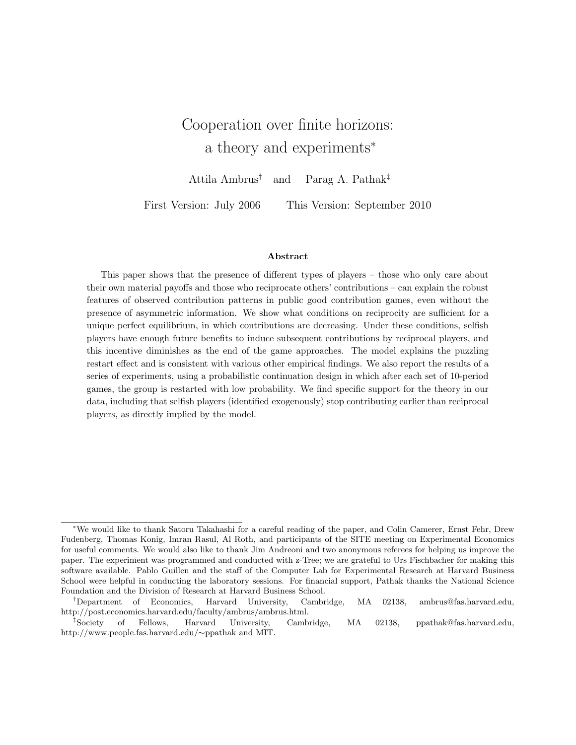# Cooperation over finite horizons: a theory and experiments<sup>∗</sup>

Attila Ambrus† and Parag A. Pathak‡

First Version: July 2006 This Version: September 2010

#### Abstract

This paper shows that the presence of different types of players – those who only care about their own material payoffs and those who reciprocate others' contributions – can explain the robust features of observed contribution patterns in public good contribution games, even without the presence of asymmetric information. We show what conditions on reciprocity are sufficient for a unique perfect equilibrium, in which contributions are decreasing. Under these conditions, selfish players have enough future benefits to induce subsequent contributions by reciprocal players, and this incentive diminishes as the end of the game approaches. The model explains the puzzling restart effect and is consistent with various other empirical findings. We also report the results of a series of experiments, using a probabilistic continuation design in which after each set of 10-period games, the group is restarted with low probability. We find specific support for the theory in our data, including that selfish players (identified exogenously) stop contributing earlier than reciprocal players, as directly implied by the model.

<sup>∗</sup>We would like to thank Satoru Takahashi for a careful reading of the paper, and Colin Camerer, Ernst Fehr, Drew Fudenberg, Thomas Konig, Imran Rasul, Al Roth, and participants of the SITE meeting on Experimental Economics for useful comments. We would also like to thank Jim Andreoni and two anonymous referees for helping us improve the paper. The experiment was programmed and conducted with z-Tree; we are grateful to Urs Fischbacher for making this software available. Pablo Guillen and the staff of the Computer Lab for Experimental Research at Harvard Business School were helpful in conducting the laboratory sessions. For financial support, Pathak thanks the National Science Foundation and the Division of Research at Harvard Business School.

<sup>†</sup>Department of Economics, Harvard University, Cambridge, MA 02138, ambrus@fas.harvard.edu, http://post.economics.harvard.edu/faculty/ambrus/ambrus.html.

<sup>‡</sup>Society of Fellows, Harvard University, Cambridge, MA 02138, ppathak@fas.harvard.edu, http://www.people.fas.harvard.edu/∼ppathak and MIT.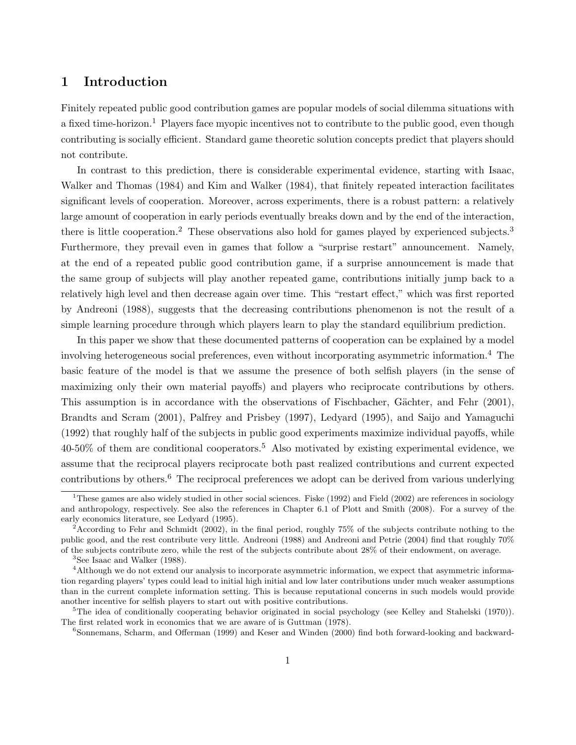## 1 Introduction

Finitely repeated public good contribution games are popular models of social dilemma situations with a fixed time-horizon.<sup>1</sup> Players face myopic incentives not to contribute to the public good, even though contributing is socially efficient. Standard game theoretic solution concepts predict that players should not contribute.

In contrast to this prediction, there is considerable experimental evidence, starting with Isaac, Walker and Thomas (1984) and Kim and Walker (1984), that finitely repeated interaction facilitates significant levels of cooperation. Moreover, across experiments, there is a robust pattern: a relatively large amount of cooperation in early periods eventually breaks down and by the end of the interaction, there is little cooperation.<sup>2</sup> These observations also hold for games played by experienced subjects.<sup>3</sup> Furthermore, they prevail even in games that follow a "surprise restart" announcement. Namely, at the end of a repeated public good contribution game, if a surprise announcement is made that the same group of subjects will play another repeated game, contributions initially jump back to a relatively high level and then decrease again over time. This "restart effect," which was first reported by Andreoni (1988), suggests that the decreasing contributions phenomenon is not the result of a simple learning procedure through which players learn to play the standard equilibrium prediction.

In this paper we show that these documented patterns of cooperation can be explained by a model involving heterogeneous social preferences, even without incorporating asymmetric information.<sup>4</sup> The basic feature of the model is that we assume the presence of both selfish players (in the sense of maximizing only their own material payoffs) and players who reciprocate contributions by others. This assumption is in accordance with the observations of Fischbacher, Gächter, and Fehr (2001), Brandts and Scram (2001), Palfrey and Prisbey (1997), Ledyard (1995), and Saijo and Yamaguchi (1992) that roughly half of the subjects in public good experiments maximize individual payoffs, while 40-50% of them are conditional cooperators.<sup>5</sup> Also motivated by existing experimental evidence, we assume that the reciprocal players reciprocate both past realized contributions and current expected contributions by others.<sup>6</sup> The reciprocal preferences we adopt can be derived from various underlying

<sup>&</sup>lt;sup>1</sup>These games are also widely studied in other social sciences. Fiske (1992) and Field (2002) are references in sociology and anthropology, respectively. See also the references in Chapter 6.1 of Plott and Smith (2008). For a survey of the early economics literature, see Ledyard (1995).

<sup>&</sup>lt;sup>2</sup>According to Fehr and Schmidt (2002), in the final period, roughly 75% of the subjects contribute nothing to the public good, and the rest contribute very little. Andreoni (1988) and Andreoni and Petrie (2004) find that roughly 70% of the subjects contribute zero, while the rest of the subjects contribute about 28% of their endowment, on average.

<sup>3</sup>See Isaac and Walker (1988).

<sup>&</sup>lt;sup>4</sup>Although we do not extend our analysis to incorporate asymmetric information, we expect that asymmetric information regarding players' types could lead to initial high initial and low later contributions under much weaker assumptions than in the current complete information setting. This is because reputational concerns in such models would provide another incentive for selfish players to start out with positive contributions.

<sup>&</sup>lt;sup>5</sup>The idea of conditionally cooperating behavior originated in social psychology (see Kelley and Stahelski (1970)). The first related work in economics that we are aware of is Guttman (1978).

<sup>6</sup>Sonnemans, Scharm, and Offerman (1999) and Keser and Winden (2000) find both forward-looking and backward-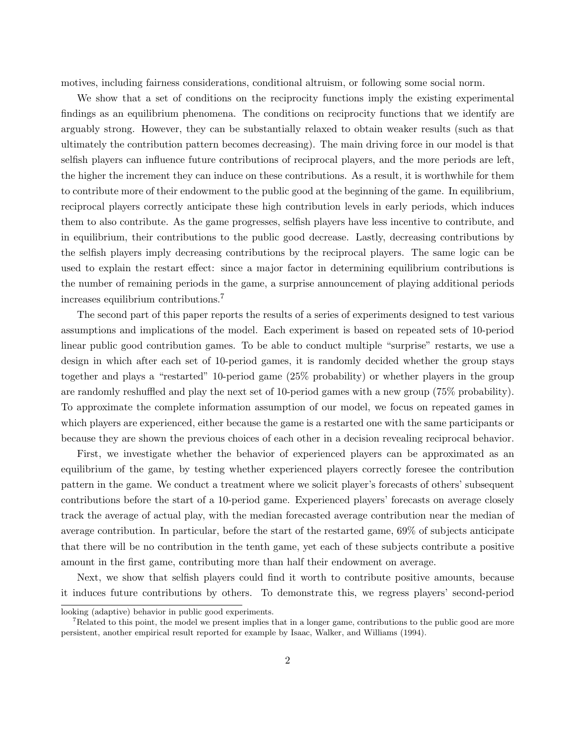motives, including fairness considerations, conditional altruism, or following some social norm.

We show that a set of conditions on the reciprocity functions imply the existing experimental findings as an equilibrium phenomena. The conditions on reciprocity functions that we identify are arguably strong. However, they can be substantially relaxed to obtain weaker results (such as that ultimately the contribution pattern becomes decreasing). The main driving force in our model is that selfish players can influence future contributions of reciprocal players, and the more periods are left, the higher the increment they can induce on these contributions. As a result, it is worthwhile for them to contribute more of their endowment to the public good at the beginning of the game. In equilibrium, reciprocal players correctly anticipate these high contribution levels in early periods, which induces them to also contribute. As the game progresses, selfish players have less incentive to contribute, and in equilibrium, their contributions to the public good decrease. Lastly, decreasing contributions by the selfish players imply decreasing contributions by the reciprocal players. The same logic can be used to explain the restart effect: since a major factor in determining equilibrium contributions is the number of remaining periods in the game, a surprise announcement of playing additional periods increases equilibrium contributions.<sup>7</sup>

The second part of this paper reports the results of a series of experiments designed to test various assumptions and implications of the model. Each experiment is based on repeated sets of 10-period linear public good contribution games. To be able to conduct multiple "surprise" restarts, we use a design in which after each set of 10-period games, it is randomly decided whether the group stays together and plays a "restarted" 10-period game (25% probability) or whether players in the group are randomly reshuffled and play the next set of 10-period games with a new group (75% probability). To approximate the complete information assumption of our model, we focus on repeated games in which players are experienced, either because the game is a restarted one with the same participants or because they are shown the previous choices of each other in a decision revealing reciprocal behavior.

First, we investigate whether the behavior of experienced players can be approximated as an equilibrium of the game, by testing whether experienced players correctly foresee the contribution pattern in the game. We conduct a treatment where we solicit player's forecasts of others' subsequent contributions before the start of a 10-period game. Experienced players' forecasts on average closely track the average of actual play, with the median forecasted average contribution near the median of average contribution. In particular, before the start of the restarted game, 69% of subjects anticipate that there will be no contribution in the tenth game, yet each of these subjects contribute a positive amount in the first game, contributing more than half their endowment on average.

Next, we show that selfish players could find it worth to contribute positive amounts, because it induces future contributions by others. To demonstrate this, we regress players' second-period

looking (adaptive) behavior in public good experiments.

<sup>&</sup>lt;sup>7</sup>Related to this point, the model we present implies that in a longer game, contributions to the public good are more persistent, another empirical result reported for example by Isaac, Walker, and Williams (1994).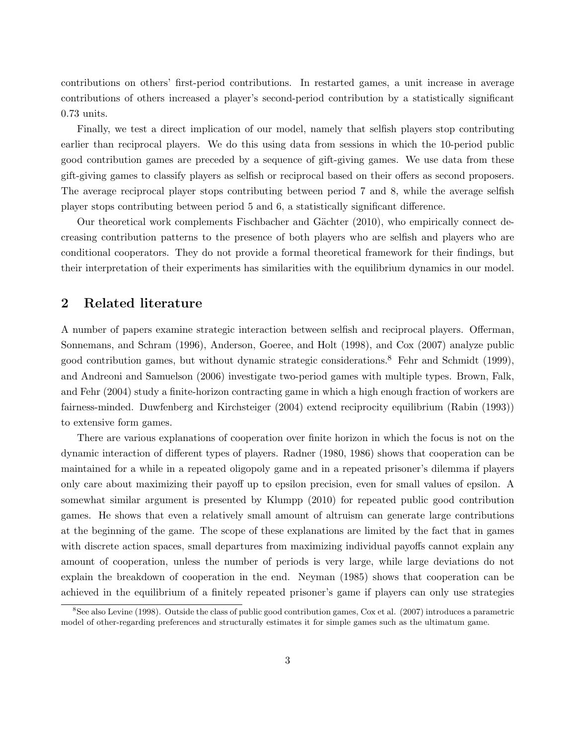contributions on others' first-period contributions. In restarted games, a unit increase in average contributions of others increased a player's second-period contribution by a statistically significant 0.73 units.

Finally, we test a direct implication of our model, namely that selfish players stop contributing earlier than reciprocal players. We do this using data from sessions in which the 10-period public good contribution games are preceded by a sequence of gift-giving games. We use data from these gift-giving games to classify players as selfish or reciprocal based on their offers as second proposers. The average reciprocal player stops contributing between period 7 and 8, while the average selfish player stops contributing between period 5 and 6, a statistically significant difference.

Our theoretical work complements Fischbacher and Gächter (2010), who empirically connect decreasing contribution patterns to the presence of both players who are selfish and players who are conditional cooperators. They do not provide a formal theoretical framework for their findings, but their interpretation of their experiments has similarities with the equilibrium dynamics in our model.

## 2 Related literature

A number of papers examine strategic interaction between selfish and reciprocal players. Offerman, Sonnemans, and Schram (1996), Anderson, Goeree, and Holt (1998), and Cox (2007) analyze public good contribution games, but without dynamic strategic considerations.<sup>8</sup> Fehr and Schmidt (1999), and Andreoni and Samuelson (2006) investigate two-period games with multiple types. Brown, Falk, and Fehr (2004) study a finite-horizon contracting game in which a high enough fraction of workers are fairness-minded. Duwfenberg and Kirchsteiger (2004) extend reciprocity equilibrium (Rabin (1993)) to extensive form games.

There are various explanations of cooperation over finite horizon in which the focus is not on the dynamic interaction of different types of players. Radner (1980, 1986) shows that cooperation can be maintained for a while in a repeated oligopoly game and in a repeated prisoner's dilemma if players only care about maximizing their payoff up to epsilon precision, even for small values of epsilon. A somewhat similar argument is presented by Klumpp (2010) for repeated public good contribution games. He shows that even a relatively small amount of altruism can generate large contributions at the beginning of the game. The scope of these explanations are limited by the fact that in games with discrete action spaces, small departures from maximizing individual payoffs cannot explain any amount of cooperation, unless the number of periods is very large, while large deviations do not explain the breakdown of cooperation in the end. Neyman (1985) shows that cooperation can be achieved in the equilibrium of a finitely repeated prisoner's game if players can only use strategies

<sup>&</sup>lt;sup>8</sup>See also Levine (1998). Outside the class of public good contribution games, Cox et al. (2007) introduces a parametric model of other-regarding preferences and structurally estimates it for simple games such as the ultimatum game.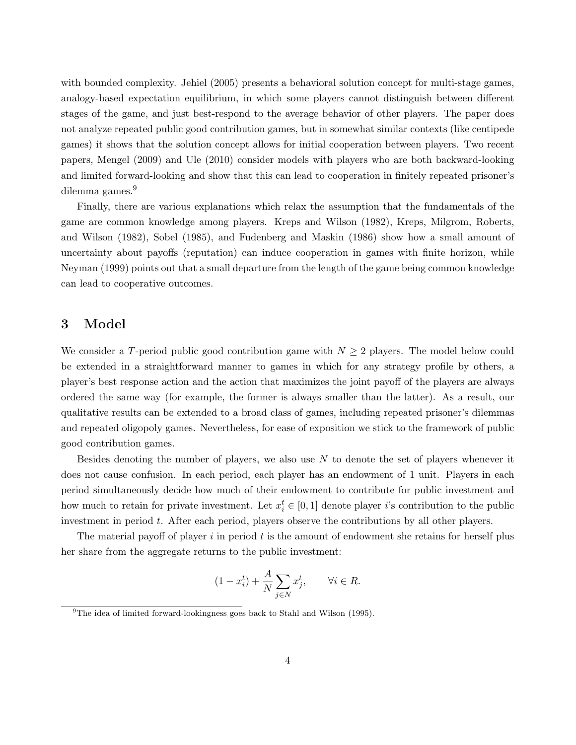with bounded complexity. Jehiel (2005) presents a behavioral solution concept for multi-stage games, analogy-based expectation equilibrium, in which some players cannot distinguish between different stages of the game, and just best-respond to the average behavior of other players. The paper does not analyze repeated public good contribution games, but in somewhat similar contexts (like centipede games) it shows that the solution concept allows for initial cooperation between players. Two recent papers, Mengel (2009) and Ule (2010) consider models with players who are both backward-looking and limited forward-looking and show that this can lead to cooperation in finitely repeated prisoner's dilemma games.<sup>9</sup>

Finally, there are various explanations which relax the assumption that the fundamentals of the game are common knowledge among players. Kreps and Wilson (1982), Kreps, Milgrom, Roberts, and Wilson (1982), Sobel (1985), and Fudenberg and Maskin (1986) show how a small amount of uncertainty about payoffs (reputation) can induce cooperation in games with finite horizon, while Neyman (1999) points out that a small departure from the length of the game being common knowledge can lead to cooperative outcomes.

## 3 Model

We consider a T-period public good contribution game with  $N \geq 2$  players. The model below could be extended in a straightforward manner to games in which for any strategy profile by others, a player's best response action and the action that maximizes the joint payoff of the players are always ordered the same way (for example, the former is always smaller than the latter). As a result, our qualitative results can be extended to a broad class of games, including repeated prisoner's dilemmas and repeated oligopoly games. Nevertheless, for ease of exposition we stick to the framework of public good contribution games.

Besides denoting the number of players, we also use  $N$  to denote the set of players whenever it does not cause confusion. In each period, each player has an endowment of 1 unit. Players in each period simultaneously decide how much of their endowment to contribute for public investment and how much to retain for private investment. Let  $x_i^t \in [0,1]$  denote player *i*'s contribution to the public investment in period t. After each period, players observe the contributions by all other players.

The material payoff of player  $i$  in period  $t$  is the amount of endowment she retains for herself plus her share from the aggregate returns to the public investment:

$$
(1 - x_i^t) + \frac{A}{N} \sum_{j \in N} x_j^t, \qquad \forall i \in R.
$$

<sup>&</sup>lt;sup>9</sup>The idea of limited forward-lookingness goes back to Stahl and Wilson (1995).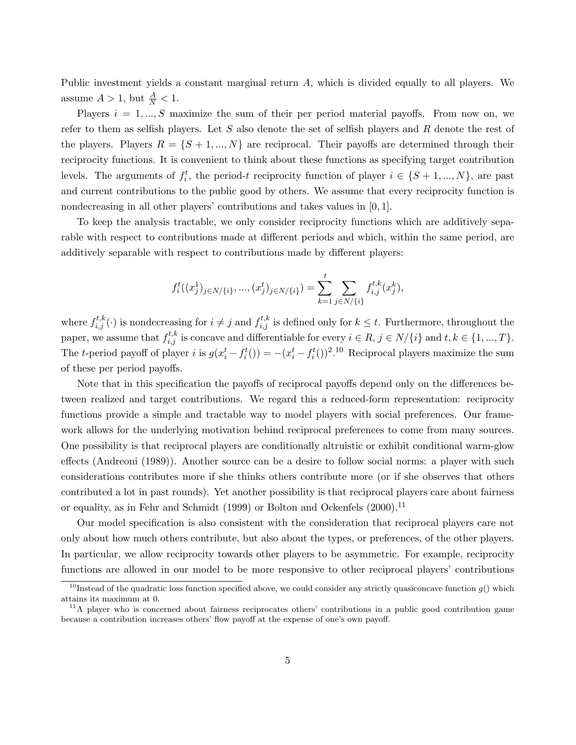Public investment yields a constant marginal return A, which is divided equally to all players. We assume  $A > 1$ , but  $\frac{A}{N} < 1$ .

Players  $i = 1, ..., S$  maximize the sum of their per period material payoffs. From now on, we refer to them as selfish players. Let  $S$  also denote the set of selfish players and  $R$  denote the rest of the players. Players  $R = \{S+1,...,N\}$  are reciprocal. Their payoffs are determined through their reciprocity functions. It is convenient to think about these functions as specifying target contribution levels. The arguments of  $f_i^t$ , the period-t reciprocity function of player  $i \in \{S+1, ..., N\}$ , are past and current contributions to the public good by others. We assume that every reciprocity function is nondecreasing in all other players' contributions and takes values in [0, 1].

To keep the analysis tractable, we only consider reciprocity functions which are additively separable with respect to contributions made at different periods and which, within the same period, are additively separable with respect to contributions made by different players:

$$
f_i^t((x_j^1)_{j \in N/\{i\}}, ..., (x_j^t)_{j \in N/\{i\}}) = \sum_{k=1}^t \sum_{j \in N/\{i\}} f_{i,j}^{t,k}(x_j^k),
$$

where  $f_{i,j}^{t,k}(\cdot)$  is nondecreasing for  $i \neq j$  and  $f_{i,j}^{t,k}$  is defined only for  $k \leq t$ . Furthermore, throughout the paper, we assume that  $f_{i,j}^{t,k}$  is concave and differentiable for every  $i \in R$ ,  $j \in N/\{i\}$  and  $t, k \in \{1, ..., T\}$ . The *t*-period payoff of player *i* is  $g(x_i^t - f_i^t() ) = -(x_i^t - f_i^t) )^2$ .<sup>10</sup> Reciprocal players maximize the sum of these per period payoffs.

Note that in this specification the payoffs of reciprocal payoffs depend only on the differences between realized and target contributions. We regard this a reduced-form representation: reciprocity functions provide a simple and tractable way to model players with social preferences. Our framework allows for the underlying motivation behind reciprocal preferences to come from many sources. One possibility is that reciprocal players are conditionally altruistic or exhibit conditional warm-glow effects (Andreoni (1989)). Another source can be a desire to follow social norms: a player with such considerations contributes more if she thinks others contribute more (or if she observes that others contributed a lot in past rounds). Yet another possibility is that reciprocal players care about fairness or equality, as in Fehr and Schmidt (1999) or Bolton and Ockenfels (2000).<sup>11</sup>

Our model specification is also consistent with the consideration that reciprocal players care not only about how much others contribute, but also about the types, or preferences, of the other players. In particular, we allow reciprocity towards other players to be asymmetric. For example, reciprocity functions are allowed in our model to be more responsive to other reciprocal players' contributions

<sup>&</sup>lt;sup>10</sup>Instead of the quadratic loss function specified above, we could consider any strictly quasiconcave function  $q()$  which attains its maximum at 0.

 $11$ A player who is concerned about fairness reciprocates others' contributions in a public good contribution game because a contribution increases others' flow payoff at the expense of one's own payoff.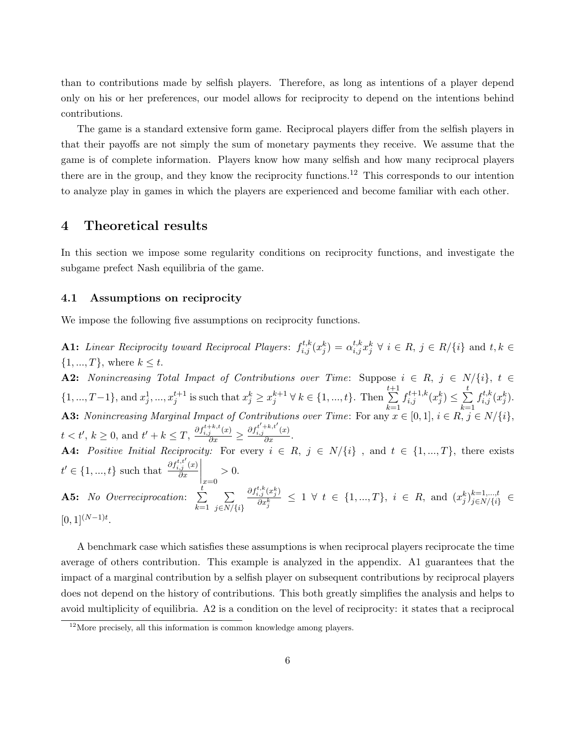than to contributions made by selfish players. Therefore, as long as intentions of a player depend only on his or her preferences, our model allows for reciprocity to depend on the intentions behind contributions.

The game is a standard extensive form game. Reciprocal players differ from the selfish players in that their payoffs are not simply the sum of monetary payments they receive. We assume that the game is of complete information. Players know how many selfish and how many reciprocal players there are in the group, and they know the reciprocity functions.<sup>12</sup> This corresponds to our intention to analyze play in games in which the players are experienced and become familiar with each other.

### 4 Theoretical results

In this section we impose some regularity conditions on reciprocity functions, and investigate the subgame prefect Nash equilibria of the game.

#### 4.1 Assumptions on reciprocity

We impose the following five assumptions on reciprocity functions.

**A1:** Linear Reciprocity toward Reciprocal Players:  $f_{i,j}^{t,k}(x_j^k) = \alpha_{i,j}^{t,k} x_j^k \forall i \in R, j \in R/\{i\}$  and  $t, k \in R$  $\{1, ..., T\}$ , where  $k \leq t$ .

A2: Nonincreasing Total Impact of Contributions over Time: Suppose  $i \in R$ ,  $j \in N/\{i\}$ ,  $t \in$  $\{1, ..., T-1\}$ , and  $x_j^1, ..., x_j^{t+1}$  is such that  $x_j^k \ge x_j^{k+1} \forall k \in \{1, ..., t\}$ . Then  $\sum_{i=1}^{t+1}$  $_{k=1}$  $f_{i,j}^{t+1,k}(x_j^k) \leq \sum_{i=1}^t$  $_{k=1}$  $f_{i,j}^{t,k}(x_j^k)$ . **A3:** Nonincreasing Marginal Impact of Contributions over Time: For any  $x \in [0,1], i \in R$ ,  $j \in N/\{i\}$ ,  $t < t', k \ge 0$ , and  $t' + k \le T$ ,  $\frac{\partial f_{i,j}^{t+k,t}(x)}{\partial x} \ge \frac{\partial f_{i,j}^{t'+k,t'}(x)}{\partial x}$ . **A4:** Positive Initial Reciprocity: For every  $i \in R$ ,  $j \in N/\{i\}$ , and  $t \in \{1, ..., T\}$ , there exists  $t' \in \{1, ..., t\}$  such that  $\frac{\partial f_{i,j}^{t,t'}(x)}{\partial x}$  $\overline{\partial x}$  $\Big|_{x=0}$  $> 0.$ **A5:** No Overreciprocation:  $\sum_{i=1}^{t}$  $k=1$  $\sum$  $j \in N/\{i\}$  $\partial f_{i,j}^{t,k}(x_j^k)$  $\frac{\partial \hat{c}_i(x_j^k)}{\partial x_j^k} \leq 1 \: \: \forall \: \: t \: \in \: \{1,...,T\}, \: \: i \: \in \: R, \: \: \text{and} \: \: (x_j^k)^{k=1,...,t}_{j\in N/\{i\}}.$  $\sum_{j\in N/\{i\}}^{\kappa=1,...,t}\in$  $[0,1]^{(N-1)t}$ .

A benchmark case which satisfies these assumptions is when reciprocal players reciprocate the time average of others contribution. This example is analyzed in the appendix. A1 guarantees that the impact of a marginal contribution by a selfish player on subsequent contributions by reciprocal players does not depend on the history of contributions. This both greatly simplifies the analysis and helps to avoid multiplicity of equilibria. A2 is a condition on the level of reciprocity: it states that a reciprocal

 $12$ More precisely, all this information is common knowledge among players.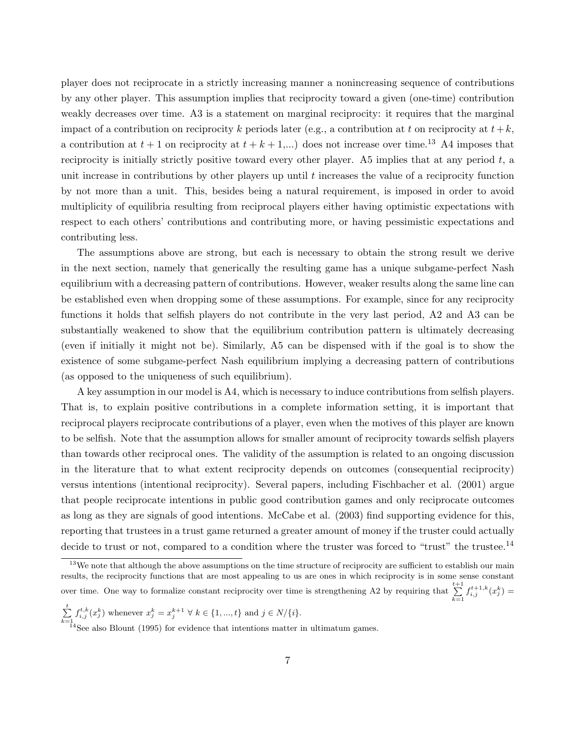player does not reciprocate in a strictly increasing manner a nonincreasing sequence of contributions by any other player. This assumption implies that reciprocity toward a given (one-time) contribution weakly decreases over time. A3 is a statement on marginal reciprocity: it requires that the marginal impact of a contribution on reciprocity k periods later (e.g., a contribution at t on reciprocity at  $t+k$ , a contribution at  $t + 1$  on reciprocity at  $t + k + 1, ...$  does not increase over time.<sup>13</sup> A4 imposes that reciprocity is initially strictly positive toward every other player. A5 implies that at any period  $t$ , a unit increase in contributions by other players up until  $t$  increases the value of a reciprocity function by not more than a unit. This, besides being a natural requirement, is imposed in order to avoid multiplicity of equilibria resulting from reciprocal players either having optimistic expectations with respect to each others' contributions and contributing more, or having pessimistic expectations and contributing less.

The assumptions above are strong, but each is necessary to obtain the strong result we derive in the next section, namely that generically the resulting game has a unique subgame-perfect Nash equilibrium with a decreasing pattern of contributions. However, weaker results along the same line can be established even when dropping some of these assumptions. For example, since for any reciprocity functions it holds that selfish players do not contribute in the very last period, A2 and A3 can be substantially weakened to show that the equilibrium contribution pattern is ultimately decreasing (even if initially it might not be). Similarly, A5 can be dispensed with if the goal is to show the existence of some subgame-perfect Nash equilibrium implying a decreasing pattern of contributions (as opposed to the uniqueness of such equilibrium).

A key assumption in our model is A4, which is necessary to induce contributions from selfish players. That is, to explain positive contributions in a complete information setting, it is important that reciprocal players reciprocate contributions of a player, even when the motives of this player are known to be selfish. Note that the assumption allows for smaller amount of reciprocity towards selfish players than towards other reciprocal ones. The validity of the assumption is related to an ongoing discussion in the literature that to what extent reciprocity depends on outcomes (consequential reciprocity) versus intentions (intentional reciprocity). Several papers, including Fischbacher et al. (2001) argue that people reciprocate intentions in public good contribution games and only reciprocate outcomes as long as they are signals of good intentions. McCabe et al. (2003) find supporting evidence for this, reporting that trustees in a trust game returned a greater amount of money if the truster could actually decide to trust or not, compared to a condition where the truster was forced to "trust" the trustee.<sup>14</sup>

$$
\sum_{k=1}^t f_{i,j}^{t,k}(x_j^k) \text{ whenever } x_j^k = x_j^{k+1} \ \forall \ k \in \{1, ..., t\} \text{ and } j \in N \setminus \{i\}.
$$

<sup>&</sup>lt;sup>13</sup>We note that although the above assumptions on the time structure of reciprocity are sufficient to establish our main results, the reciprocity functions that are most appealing to us are ones in which reciprocity is in some sense constant over time. One way to formalize constant reciprocity over time is strengthening A2 by requiring that  $\sum_{k=1}^{t+1}$  $\sum_{k=1}^{s+1} f_{i,j}^{t+1,k}(x_j^k) =$ 

 $\frac{k=1}{14}$ See also Blount (1995) for evidence that intentions matter in ultimatum games.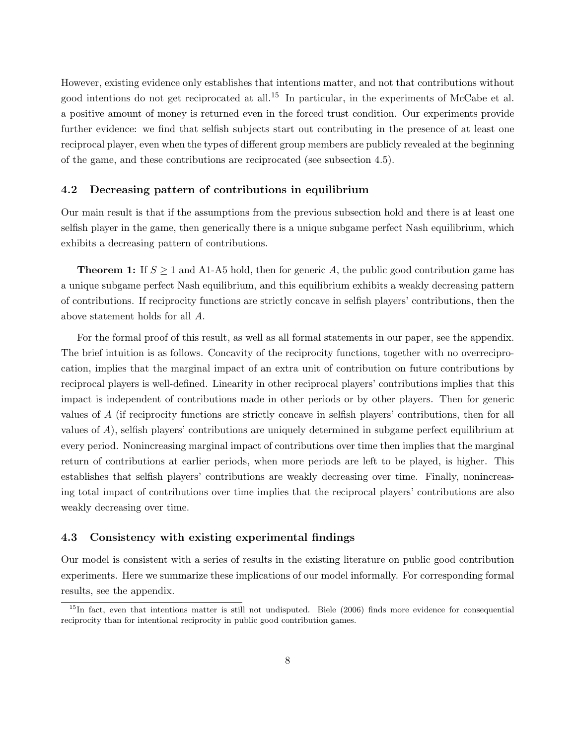However, existing evidence only establishes that intentions matter, and not that contributions without good intentions do not get reciprocated at all.<sup>15</sup> In particular, in the experiments of McCabe et al. a positive amount of money is returned even in the forced trust condition. Our experiments provide further evidence: we find that selfish subjects start out contributing in the presence of at least one reciprocal player, even when the types of different group members are publicly revealed at the beginning of the game, and these contributions are reciprocated (see subsection 4.5).

#### 4.2 Decreasing pattern of contributions in equilibrium

Our main result is that if the assumptions from the previous subsection hold and there is at least one selfish player in the game, then generically there is a unique subgame perfect Nash equilibrium, which exhibits a decreasing pattern of contributions.

**Theorem 1:** If  $S \geq 1$  and A1-A5 hold, then for generic A, the public good contribution game has a unique subgame perfect Nash equilibrium, and this equilibrium exhibits a weakly decreasing pattern of contributions. If reciprocity functions are strictly concave in selfish players' contributions, then the above statement holds for all A.

For the formal proof of this result, as well as all formal statements in our paper, see the appendix. The brief intuition is as follows. Concavity of the reciprocity functions, together with no overreciprocation, implies that the marginal impact of an extra unit of contribution on future contributions by reciprocal players is well-defined. Linearity in other reciprocal players' contributions implies that this impact is independent of contributions made in other periods or by other players. Then for generic values of A (if reciprocity functions are strictly concave in selfish players' contributions, then for all values of A), selfish players' contributions are uniquely determined in subgame perfect equilibrium at every period. Nonincreasing marginal impact of contributions over time then implies that the marginal return of contributions at earlier periods, when more periods are left to be played, is higher. This establishes that selfish players' contributions are weakly decreasing over time. Finally, nonincreasing total impact of contributions over time implies that the reciprocal players' contributions are also weakly decreasing over time.

#### 4.3 Consistency with existing experimental findings

Our model is consistent with a series of results in the existing literature on public good contribution experiments. Here we summarize these implications of our model informally. For corresponding formal results, see the appendix.

<sup>&</sup>lt;sup>15</sup>In fact, even that intentions matter is still not undisputed. Biele (2006) finds more evidence for consequential reciprocity than for intentional reciprocity in public good contribution games.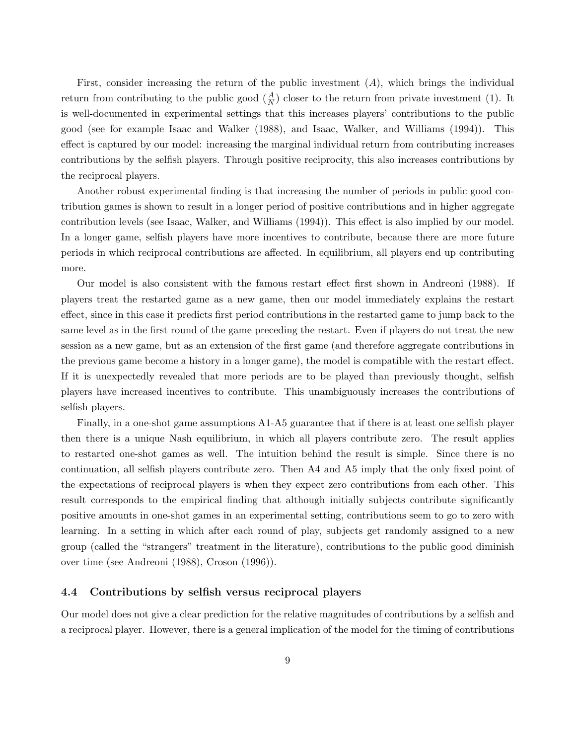First, consider increasing the return of the public investment  $(A)$ , which brings the individual return from contributing to the public good  $(\frac{A}{N})$  closer to the return from private investment (1). It is well-documented in experimental settings that this increases players' contributions to the public good (see for example Isaac and Walker (1988), and Isaac, Walker, and Williams (1994)). This effect is captured by our model: increasing the marginal individual return from contributing increases contributions by the selfish players. Through positive reciprocity, this also increases contributions by the reciprocal players.

Another robust experimental finding is that increasing the number of periods in public good contribution games is shown to result in a longer period of positive contributions and in higher aggregate contribution levels (see Isaac, Walker, and Williams (1994)). This effect is also implied by our model. In a longer game, selfish players have more incentives to contribute, because there are more future periods in which reciprocal contributions are affected. In equilibrium, all players end up contributing more.

Our model is also consistent with the famous restart effect first shown in Andreoni (1988). If players treat the restarted game as a new game, then our model immediately explains the restart effect, since in this case it predicts first period contributions in the restarted game to jump back to the same level as in the first round of the game preceding the restart. Even if players do not treat the new session as a new game, but as an extension of the first game (and therefore aggregate contributions in the previous game become a history in a longer game), the model is compatible with the restart effect. If it is unexpectedly revealed that more periods are to be played than previously thought, selfish players have increased incentives to contribute. This unambiguously increases the contributions of selfish players.

Finally, in a one-shot game assumptions A1-A5 guarantee that if there is at least one selfish player then there is a unique Nash equilibrium, in which all players contribute zero. The result applies to restarted one-shot games as well. The intuition behind the result is simple. Since there is no continuation, all selfish players contribute zero. Then A4 and A5 imply that the only fixed point of the expectations of reciprocal players is when they expect zero contributions from each other. This result corresponds to the empirical finding that although initially subjects contribute significantly positive amounts in one-shot games in an experimental setting, contributions seem to go to zero with learning. In a setting in which after each round of play, subjects get randomly assigned to a new group (called the "strangers" treatment in the literature), contributions to the public good diminish over time (see Andreoni (1988), Croson (1996)).

#### 4.4 Contributions by selfish versus reciprocal players

Our model does not give a clear prediction for the relative magnitudes of contributions by a selfish and a reciprocal player. However, there is a general implication of the model for the timing of contributions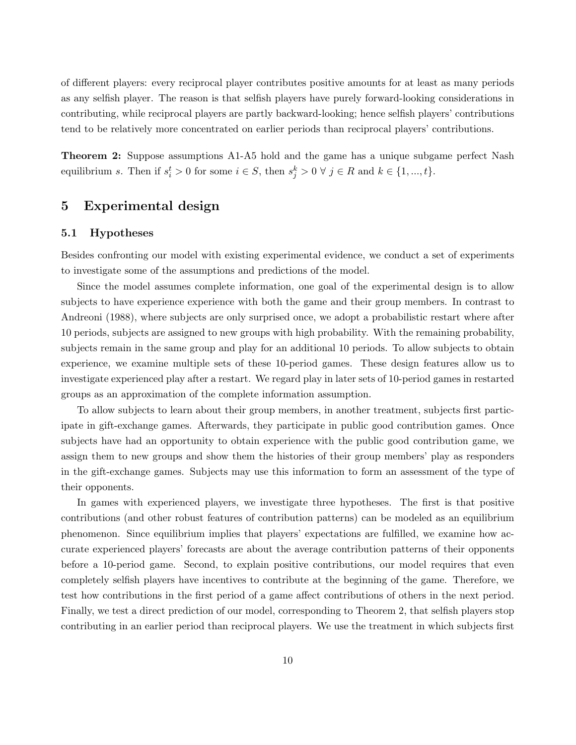of different players: every reciprocal player contributes positive amounts for at least as many periods as any selfish player. The reason is that selfish players have purely forward-looking considerations in contributing, while reciprocal players are partly backward-looking; hence selfish players' contributions tend to be relatively more concentrated on earlier periods than reciprocal players' contributions.

**Theorem 2:** Suppose assumptions A1-A5 hold and the game has a unique subgame perfect Nash equilibrium s. Then if  $s_i^t > 0$  for some  $i \in S$ , then  $s_j^k > 0 \forall j \in R$  and  $k \in \{1, ..., t\}$ .

## 5 Experimental design

#### 5.1 Hypotheses

Besides confronting our model with existing experimental evidence, we conduct a set of experiments to investigate some of the assumptions and predictions of the model.

Since the model assumes complete information, one goal of the experimental design is to allow subjects to have experience experience with both the game and their group members. In contrast to Andreoni (1988), where subjects are only surprised once, we adopt a probabilistic restart where after 10 periods, subjects are assigned to new groups with high probability. With the remaining probability, subjects remain in the same group and play for an additional 10 periods. To allow subjects to obtain experience, we examine multiple sets of these 10-period games. These design features allow us to investigate experienced play after a restart. We regard play in later sets of 10-period games in restarted groups as an approximation of the complete information assumption.

To allow subjects to learn about their group members, in another treatment, subjects first participate in gift-exchange games. Afterwards, they participate in public good contribution games. Once subjects have had an opportunity to obtain experience with the public good contribution game, we assign them to new groups and show them the histories of their group members' play as responders in the gift-exchange games. Subjects may use this information to form an assessment of the type of their opponents.

In games with experienced players, we investigate three hypotheses. The first is that positive contributions (and other robust features of contribution patterns) can be modeled as an equilibrium phenomenon. Since equilibrium implies that players' expectations are fulfilled, we examine how accurate experienced players' forecasts are about the average contribution patterns of their opponents before a 10-period game. Second, to explain positive contributions, our model requires that even completely selfish players have incentives to contribute at the beginning of the game. Therefore, we test how contributions in the first period of a game affect contributions of others in the next period. Finally, we test a direct prediction of our model, corresponding to Theorem 2, that selfish players stop contributing in an earlier period than reciprocal players. We use the treatment in which subjects first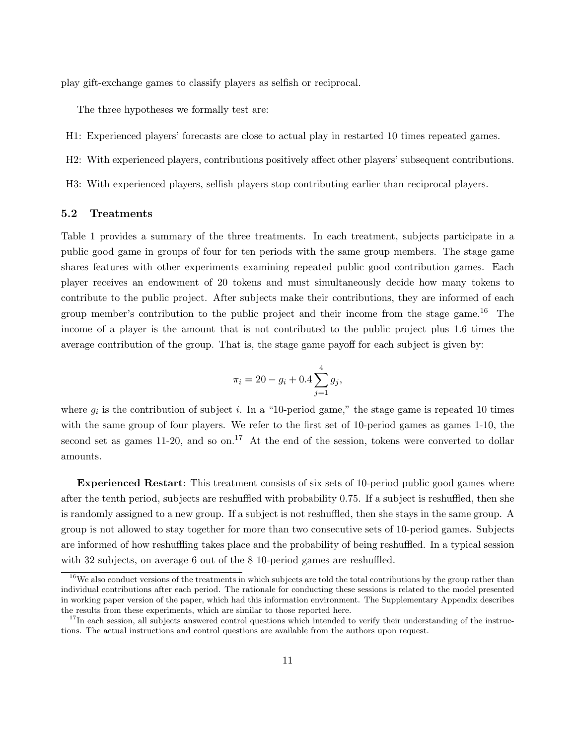play gift-exchange games to classify players as selfish or reciprocal.

The three hypotheses we formally test are:

- H1: Experienced players' forecasts are close to actual play in restarted 10 times repeated games.
- H2: With experienced players, contributions positively affect other players' subsequent contributions.
- H3: With experienced players, selfish players stop contributing earlier than reciprocal players.

#### 5.2 Treatments

Table 1 provides a summary of the three treatments. In each treatment, subjects participate in a public good game in groups of four for ten periods with the same group members. The stage game shares features with other experiments examining repeated public good contribution games. Each player receives an endowment of 20 tokens and must simultaneously decide how many tokens to contribute to the public project. After subjects make their contributions, they are informed of each group member's contribution to the public project and their income from the stage game.<sup>16</sup> The income of a player is the amount that is not contributed to the public project plus 1.6 times the average contribution of the group. That is, the stage game payoff for each subject is given by:

$$
\pi_i = 20 - g_i + 0.4 \sum_{j=1}^4 g_j,
$$

where  $g_i$  is the contribution of subject *i*. In a "10-period game," the stage game is repeated 10 times with the same group of four players. We refer to the first set of 10-period games as games 1-10, the second set as games 11-20, and so on.<sup>17</sup> At the end of the session, tokens were converted to dollar amounts.

Experienced Restart: This treatment consists of six sets of 10-period public good games where after the tenth period, subjects are reshuffled with probability 0.75. If a subject is reshuffled, then she is randomly assigned to a new group. If a subject is not reshuffled, then she stays in the same group. A group is not allowed to stay together for more than two consecutive sets of 10-period games. Subjects are informed of how reshuffling takes place and the probability of being reshuffled. In a typical session with 32 subjects, on average 6 out of the 8 10-period games are reshuffled.

 $16$ We also conduct versions of the treatments in which subjects are told the total contributions by the group rather than individual contributions after each period. The rationale for conducting these sessions is related to the model presented in working paper version of the paper, which had this information environment. The Supplementary Appendix describes the results from these experiments, which are similar to those reported here.

 $17$ In each session, all subjects answered control questions which intended to verify their understanding of the instructions. The actual instructions and control questions are available from the authors upon request.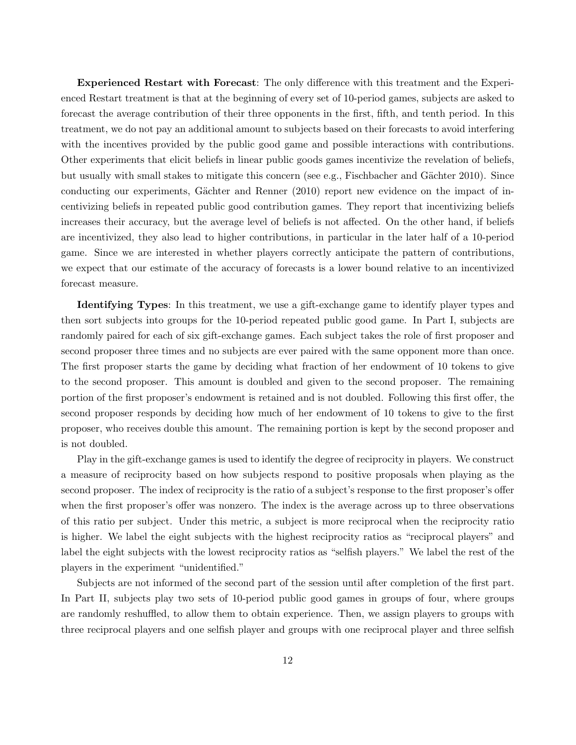Experienced Restart with Forecast: The only difference with this treatment and the Experienced Restart treatment is that at the beginning of every set of 10-period games, subjects are asked to forecast the average contribution of their three opponents in the first, fifth, and tenth period. In this treatment, we do not pay an additional amount to subjects based on their forecasts to avoid interfering with the incentives provided by the public good game and possible interactions with contributions. Other experiments that elicit beliefs in linear public goods games incentivize the revelation of beliefs, but usually with small stakes to mitigate this concern (see e.g., Fischbacher and Gächter 2010). Since conducting our experiments, Gächter and Renner (2010) report new evidence on the impact of incentivizing beliefs in repeated public good contribution games. They report that incentivizing beliefs increases their accuracy, but the average level of beliefs is not affected. On the other hand, if beliefs are incentivized, they also lead to higher contributions, in particular in the later half of a 10-period game. Since we are interested in whether players correctly anticipate the pattern of contributions, we expect that our estimate of the accuracy of forecasts is a lower bound relative to an incentivized forecast measure.

Identifying Types: In this treatment, we use a gift-exchange game to identify player types and then sort subjects into groups for the 10-period repeated public good game. In Part I, subjects are randomly paired for each of six gift-exchange games. Each subject takes the role of first proposer and second proposer three times and no subjects are ever paired with the same opponent more than once. The first proposer starts the game by deciding what fraction of her endowment of 10 tokens to give to the second proposer. This amount is doubled and given to the second proposer. The remaining portion of the first proposer's endowment is retained and is not doubled. Following this first offer, the second proposer responds by deciding how much of her endowment of 10 tokens to give to the first proposer, who receives double this amount. The remaining portion is kept by the second proposer and is not doubled.

Play in the gift-exchange games is used to identify the degree of reciprocity in players. We construct a measure of reciprocity based on how subjects respond to positive proposals when playing as the second proposer. The index of reciprocity is the ratio of a subject's response to the first proposer's offer when the first proposer's offer was nonzero. The index is the average across up to three observations of this ratio per subject. Under this metric, a subject is more reciprocal when the reciprocity ratio is higher. We label the eight subjects with the highest reciprocity ratios as "reciprocal players" and label the eight subjects with the lowest reciprocity ratios as "selfish players." We label the rest of the players in the experiment "unidentified."

Subjects are not informed of the second part of the session until after completion of the first part. In Part II, subjects play two sets of 10-period public good games in groups of four, where groups are randomly reshuffled, to allow them to obtain experience. Then, we assign players to groups with three reciprocal players and one selfish player and groups with one reciprocal player and three selfish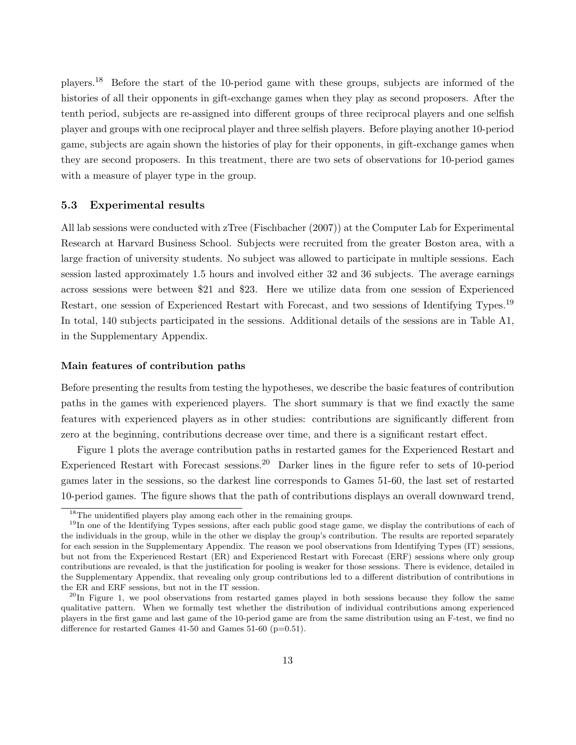players.<sup>18</sup> Before the start of the 10-period game with these groups, subjects are informed of the histories of all their opponents in gift-exchange games when they play as second proposers. After the tenth period, subjects are re-assigned into different groups of three reciprocal players and one selfish player and groups with one reciprocal player and three selfish players. Before playing another 10-period game, subjects are again shown the histories of play for their opponents, in gift-exchange games when they are second proposers. In this treatment, there are two sets of observations for 10-period games with a measure of player type in the group.

#### 5.3 Experimental results

All lab sessions were conducted with zTree (Fischbacher (2007)) at the Computer Lab for Experimental Research at Harvard Business School. Subjects were recruited from the greater Boston area, with a large fraction of university students. No subject was allowed to participate in multiple sessions. Each session lasted approximately 1.5 hours and involved either 32 and 36 subjects. The average earnings across sessions were between \$21 and \$23. Here we utilize data from one session of Experienced Restart, one session of Experienced Restart with Forecast, and two sessions of Identifying Types.<sup>19</sup> In total, 140 subjects participated in the sessions. Additional details of the sessions are in Table A1, in the Supplementary Appendix.

#### Main features of contribution paths

Before presenting the results from testing the hypotheses, we describe the basic features of contribution paths in the games with experienced players. The short summary is that we find exactly the same features with experienced players as in other studies: contributions are significantly different from zero at the beginning, contributions decrease over time, and there is a significant restart effect.

Figure 1 plots the average contribution paths in restarted games for the Experienced Restart and Experienced Restart with Forecast sessions.<sup>20</sup> Darker lines in the figure refer to sets of 10-period games later in the sessions, so the darkest line corresponds to Games 51-60, the last set of restarted 10-period games. The figure shows that the path of contributions displays an overall downward trend,

<sup>&</sup>lt;sup>18</sup>The unidentified players play among each other in the remaining groups.

<sup>&</sup>lt;sup>19</sup>In one of the Identifying Types sessions, after each public good stage game, we display the contributions of each of the individuals in the group, while in the other we display the group's contribution. The results are reported separately for each session in the Supplementary Appendix. The reason we pool observations from Identifying Types (IT) sessions, but not from the Experienced Restart (ER) and Experienced Restart with Forecast (ERF) sessions where only group contributions are revealed, is that the justification for pooling is weaker for those sessions. There is evidence, detailed in the Supplementary Appendix, that revealing only group contributions led to a different distribution of contributions in the ER and ERF sessions, but not in the IT session.

 $^{20}$ In Figure 1, we pool observations from restarted games played in both sessions because they follow the same qualitative pattern. When we formally test whether the distribution of individual contributions among experienced players in the first game and last game of the 10-period game are from the same distribution using an F-test, we find no difference for restarted Games  $41-50$  and Games  $51-60$  ( $p=0.51$ ).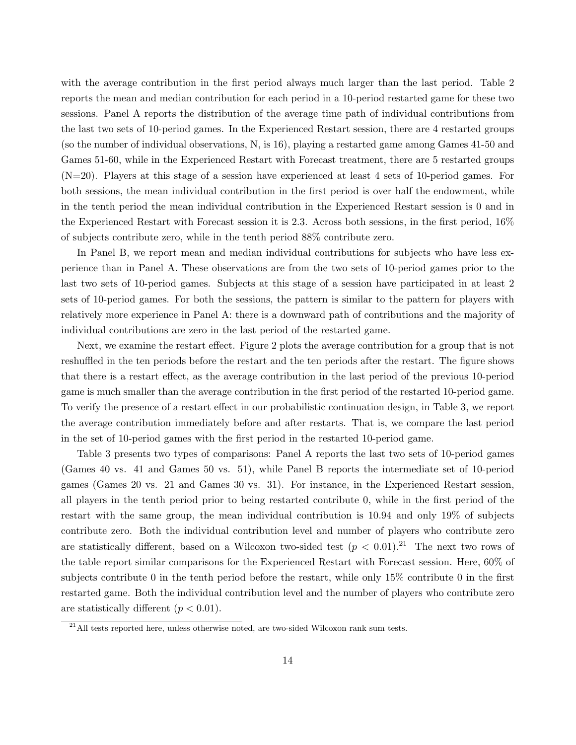with the average contribution in the first period always much larger than the last period. Table 2 reports the mean and median contribution for each period in a 10-period restarted game for these two sessions. Panel A reports the distribution of the average time path of individual contributions from the last two sets of 10-period games. In the Experienced Restart session, there are 4 restarted groups (so the number of individual observations, N, is 16), playing a restarted game among Games 41-50 and Games 51-60, while in the Experienced Restart with Forecast treatment, there are 5 restarted groups (N=20). Players at this stage of a session have experienced at least 4 sets of 10-period games. For both sessions, the mean individual contribution in the first period is over half the endowment, while in the tenth period the mean individual contribution in the Experienced Restart session is 0 and in the Experienced Restart with Forecast session it is 2.3. Across both sessions, in the first period, 16% of subjects contribute zero, while in the tenth period 88% contribute zero.

In Panel B, we report mean and median individual contributions for subjects who have less experience than in Panel A. These observations are from the two sets of 10-period games prior to the last two sets of 10-period games. Subjects at this stage of a session have participated in at least 2 sets of 10-period games. For both the sessions, the pattern is similar to the pattern for players with relatively more experience in Panel A: there is a downward path of contributions and the majority of individual contributions are zero in the last period of the restarted game.

Next, we examine the restart effect. Figure 2 plots the average contribution for a group that is not reshuffled in the ten periods before the restart and the ten periods after the restart. The figure shows that there is a restart effect, as the average contribution in the last period of the previous 10-period game is much smaller than the average contribution in the first period of the restarted 10-period game. To verify the presence of a restart effect in our probabilistic continuation design, in Table 3, we report the average contribution immediately before and after restarts. That is, we compare the last period in the set of 10-period games with the first period in the restarted 10-period game.

Table 3 presents two types of comparisons: Panel A reports the last two sets of 10-period games (Games 40 vs. 41 and Games 50 vs. 51), while Panel B reports the intermediate set of 10-period games (Games 20 vs. 21 and Games 30 vs. 31). For instance, in the Experienced Restart session, all players in the tenth period prior to being restarted contribute 0, while in the first period of the restart with the same group, the mean individual contribution is 10.94 and only 19% of subjects contribute zero. Both the individual contribution level and number of players who contribute zero are statistically different, based on a Wilcoxon two-sided test  $(p < 0.01).^{21}$  The next two rows of the table report similar comparisons for the Experienced Restart with Forecast session. Here, 60% of subjects contribute 0 in the tenth period before the restart, while only 15% contribute 0 in the first restarted game. Both the individual contribution level and the number of players who contribute zero are statistically different  $(p < 0.01)$ .

<sup>&</sup>lt;sup>21</sup>All tests reported here, unless otherwise noted, are two-sided Wilcoxon rank sum tests.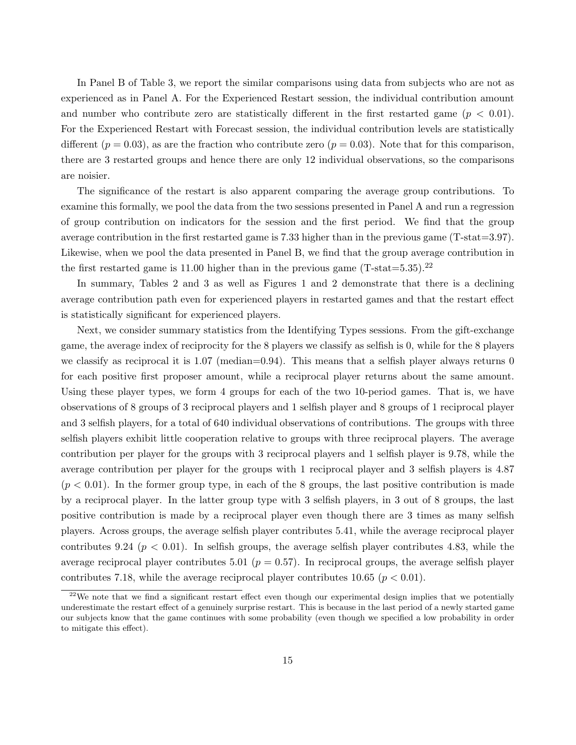In Panel B of Table 3, we report the similar comparisons using data from subjects who are not as experienced as in Panel A. For the Experienced Restart session, the individual contribution amount and number who contribute zero are statistically different in the first restarted game ( $p < 0.01$ ). For the Experienced Restart with Forecast session, the individual contribution levels are statistically different  $(p = 0.03)$ , as are the fraction who contribute zero  $(p = 0.03)$ . Note that for this comparison, there are 3 restarted groups and hence there are only 12 individual observations, so the comparisons are noisier.

The significance of the restart is also apparent comparing the average group contributions. To examine this formally, we pool the data from the two sessions presented in Panel A and run a regression of group contribution on indicators for the session and the first period. We find that the group average contribution in the first restarted game is 7.33 higher than in the previous game (T-stat=3.97). Likewise, when we pool the data presented in Panel B, we find that the group average contribution in the first restarted game is 11.00 higher than in the previous game  $(T-stat=5.35).^{22}$ 

In summary, Tables 2 and 3 as well as Figures 1 and 2 demonstrate that there is a declining average contribution path even for experienced players in restarted games and that the restart effect is statistically significant for experienced players.

Next, we consider summary statistics from the Identifying Types sessions. From the gift-exchange game, the average index of reciprocity for the 8 players we classify as selfish is 0, while for the 8 players we classify as reciprocal it is 1.07 (median=0.94). This means that a selfish player always returns 0 for each positive first proposer amount, while a reciprocal player returns about the same amount. Using these player types, we form 4 groups for each of the two 10-period games. That is, we have observations of 8 groups of 3 reciprocal players and 1 selfish player and 8 groups of 1 reciprocal player and 3 selfish players, for a total of 640 individual observations of contributions. The groups with three selfish players exhibit little cooperation relative to groups with three reciprocal players. The average contribution per player for the groups with 3 reciprocal players and 1 selfish player is 9.78, while the average contribution per player for the groups with 1 reciprocal player and 3 selfish players is 4.87  $(p < 0.01)$ . In the former group type, in each of the 8 groups, the last positive contribution is made by a reciprocal player. In the latter group type with 3 selfish players, in 3 out of 8 groups, the last positive contribution is made by a reciprocal player even though there are 3 times as many selfish players. Across groups, the average selfish player contributes 5.41, while the average reciprocal player contributes 9.24 ( $p < 0.01$ ). In selfish groups, the average selfish player contributes 4.83, while the average reciprocal player contributes 5.01 ( $p = 0.57$ ). In reciprocal groups, the average selfish player contributes 7.18, while the average reciprocal player contributes 10.65 ( $p < 0.01$ ).

<sup>&</sup>lt;sup>22</sup>We note that we find a significant restart effect even though our experimental design implies that we potentially underestimate the restart effect of a genuinely surprise restart. This is because in the last period of a newly started game our subjects know that the game continues with some probability (even though we specified a low probability in order to mitigate this effect).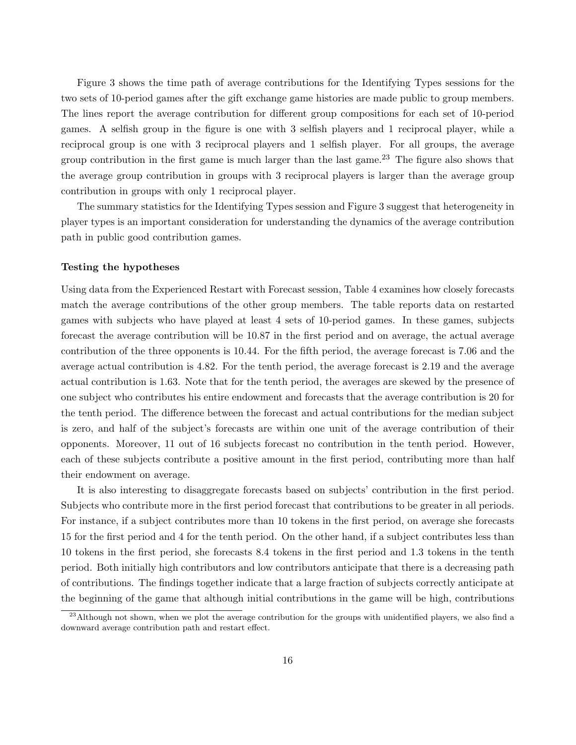Figure 3 shows the time path of average contributions for the Identifying Types sessions for the two sets of 10-period games after the gift exchange game histories are made public to group members. The lines report the average contribution for different group compositions for each set of 10-period games. A selfish group in the figure is one with 3 selfish players and 1 reciprocal player, while a reciprocal group is one with 3 reciprocal players and 1 selfish player. For all groups, the average group contribution in the first game is much larger than the last game.<sup>23</sup> The figure also shows that the average group contribution in groups with 3 reciprocal players is larger than the average group contribution in groups with only 1 reciprocal player.

The summary statistics for the Identifying Types session and Figure 3 suggest that heterogeneity in player types is an important consideration for understanding the dynamics of the average contribution path in public good contribution games.

#### Testing the hypotheses

Using data from the Experienced Restart with Forecast session, Table 4 examines how closely forecasts match the average contributions of the other group members. The table reports data on restarted games with subjects who have played at least 4 sets of 10-period games. In these games, subjects forecast the average contribution will be 10.87 in the first period and on average, the actual average contribution of the three opponents is 10.44. For the fifth period, the average forecast is 7.06 and the average actual contribution is 4.82. For the tenth period, the average forecast is 2.19 and the average actual contribution is 1.63. Note that for the tenth period, the averages are skewed by the presence of one subject who contributes his entire endowment and forecasts that the average contribution is 20 for the tenth period. The difference between the forecast and actual contributions for the median subject is zero, and half of the subject's forecasts are within one unit of the average contribution of their opponents. Moreover, 11 out of 16 subjects forecast no contribution in the tenth period. However, each of these subjects contribute a positive amount in the first period, contributing more than half their endowment on average.

It is also interesting to disaggregate forecasts based on subjects' contribution in the first period. Subjects who contribute more in the first period forecast that contributions to be greater in all periods. For instance, if a subject contributes more than 10 tokens in the first period, on average she forecasts 15 for the first period and 4 for the tenth period. On the other hand, if a subject contributes less than 10 tokens in the first period, she forecasts 8.4 tokens in the first period and 1.3 tokens in the tenth period. Both initially high contributors and low contributors anticipate that there is a decreasing path of contributions. The findings together indicate that a large fraction of subjects correctly anticipate at the beginning of the game that although initial contributions in the game will be high, contributions

 $^{23}$ Although not shown, when we plot the average contribution for the groups with unidentified players, we also find a downward average contribution path and restart effect.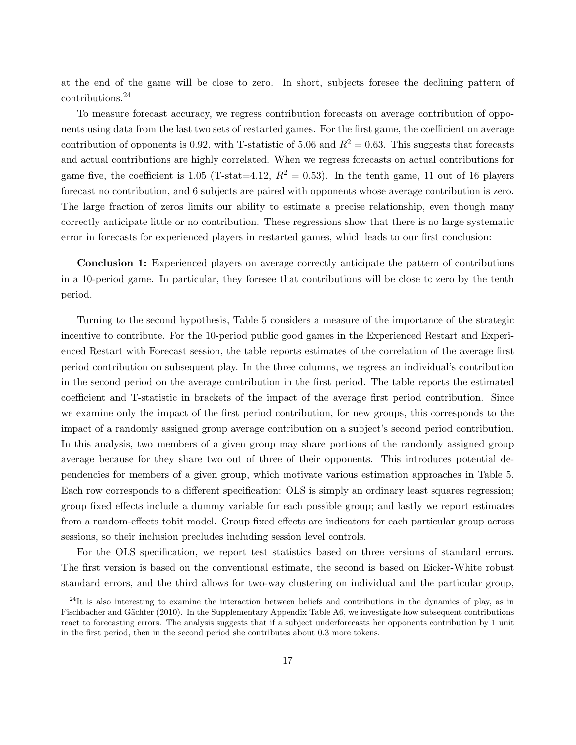at the end of the game will be close to zero. In short, subjects foresee the declining pattern of contributions.<sup>24</sup>

To measure forecast accuracy, we regress contribution forecasts on average contribution of opponents using data from the last two sets of restarted games. For the first game, the coefficient on average contribution of opponents is 0.92, with T-statistic of 5.06 and  $R^2 = 0.63$ . This suggests that forecasts and actual contributions are highly correlated. When we regress forecasts on actual contributions for game five, the coefficient is 1.05 (T-stat=4.12,  $R^2 = 0.53$ ). In the tenth game, 11 out of 16 players forecast no contribution, and 6 subjects are paired with opponents whose average contribution is zero. The large fraction of zeros limits our ability to estimate a precise relationship, even though many correctly anticipate little or no contribution. These regressions show that there is no large systematic error in forecasts for experienced players in restarted games, which leads to our first conclusion:

Conclusion 1: Experienced players on average correctly anticipate the pattern of contributions in a 10-period game. In particular, they foresee that contributions will be close to zero by the tenth period.

Turning to the second hypothesis, Table 5 considers a measure of the importance of the strategic incentive to contribute. For the 10-period public good games in the Experienced Restart and Experienced Restart with Forecast session, the table reports estimates of the correlation of the average first period contribution on subsequent play. In the three columns, we regress an individual's contribution in the second period on the average contribution in the first period. The table reports the estimated coefficient and T-statistic in brackets of the impact of the average first period contribution. Since we examine only the impact of the first period contribution, for new groups, this corresponds to the impact of a randomly assigned group average contribution on a subject's second period contribution. In this analysis, two members of a given group may share portions of the randomly assigned group average because for they share two out of three of their opponents. This introduces potential dependencies for members of a given group, which motivate various estimation approaches in Table 5. Each row corresponds to a different specification: OLS is simply an ordinary least squares regression; group fixed effects include a dummy variable for each possible group; and lastly we report estimates from a random-effects tobit model. Group fixed effects are indicators for each particular group across sessions, so their inclusion precludes including session level controls.

For the OLS specification, we report test statistics based on three versions of standard errors. The first version is based on the conventional estimate, the second is based on Eicker-White robust standard errors, and the third allows for two-way clustering on individual and the particular group,

 $^{24}$ It is also interesting to examine the interaction between beliefs and contributions in the dynamics of play, as in Fischbacher and Gächter (2010). In the Supplementary Appendix Table A6, we investigate how subsequent contributions react to forecasting errors. The analysis suggests that if a subject underforecasts her opponents contribution by 1 unit in the first period, then in the second period she contributes about 0.3 more tokens.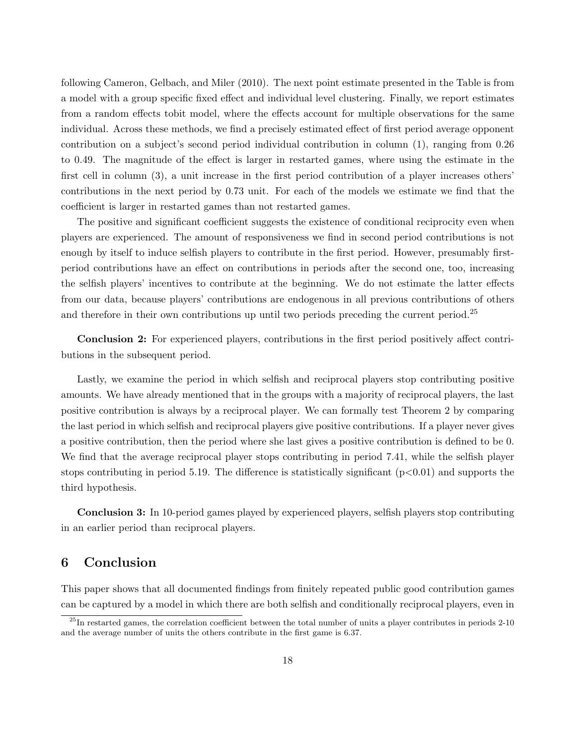following Cameron, Gelbach, and Miler (2010). The next point estimate presented in the Table is from a model with a group specific fixed effect and individual level clustering. Finally, we report estimates from a random effects tobit model, where the effects account for multiple observations for the same individual. Across these methods, we find a precisely estimated effect of first period average opponent contribution on a subject's second period individual contribution in column (1), ranging from 0.26 to 0.49. The magnitude of the effect is larger in restarted games, where using the estimate in the first cell in column (3), a unit increase in the first period contribution of a player increases others' contributions in the next period by 0.73 unit. For each of the models we estimate we find that the coefficient is larger in restarted games than not restarted games.

The positive and significant coefficient suggests the existence of conditional reciprocity even when players are experienced. The amount of responsiveness we find in second period contributions is not enough by itself to induce selfish players to contribute in the first period. However, presumably firstperiod contributions have an effect on contributions in periods after the second one, too, increasing the selfish players' incentives to contribute at the beginning. We do not estimate the latter effects from our data, because players' contributions are endogenous in all previous contributions of others and therefore in their own contributions up until two periods preceding the current period.<sup>25</sup>

Conclusion 2: For experienced players, contributions in the first period positively affect contributions in the subsequent period.

Lastly, we examine the period in which selfish and reciprocal players stop contributing positive amounts. We have already mentioned that in the groups with a majority of reciprocal players, the last positive contribution is always by a reciprocal player. We can formally test Theorem 2 by comparing the last period in which selfish and reciprocal players give positive contributions. If a player never gives a positive contribution, then the period where she last gives a positive contribution is defined to be 0. We find that the average reciprocal player stops contributing in period 7.41, while the selfish player stops contributing in period 5.19. The difference is statistically significant  $(p<0.01)$  and supports the third hypothesis.

Conclusion 3: In 10-period games played by experienced players, selfish players stop contributing in an earlier period than reciprocal players.

## 6 Conclusion

This paper shows that all documented findings from finitely repeated public good contribution games can be captured by a model in which there are both selfish and conditionally reciprocal players, even in

 $^{25}$ In restarted games, the correlation coefficient between the total number of units a player contributes in periods 2-10 and the average number of units the others contribute in the first game is 6.37.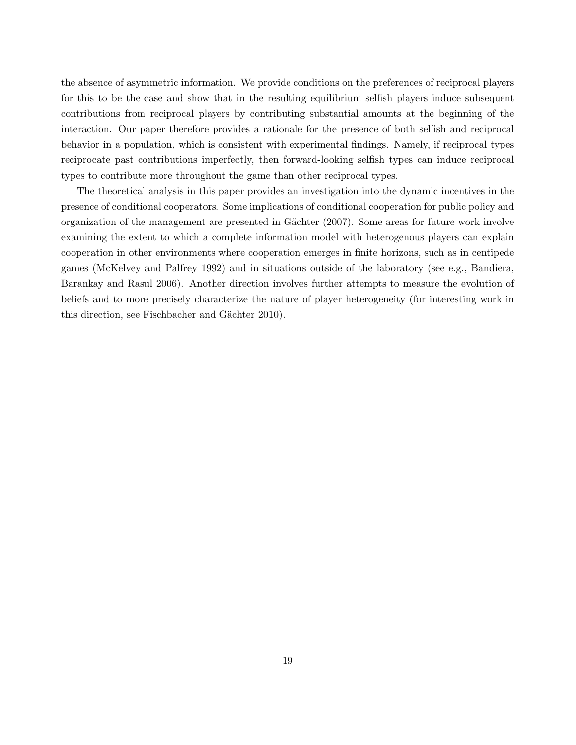the absence of asymmetric information. We provide conditions on the preferences of reciprocal players for this to be the case and show that in the resulting equilibrium selfish players induce subsequent contributions from reciprocal players by contributing substantial amounts at the beginning of the interaction. Our paper therefore provides a rationale for the presence of both selfish and reciprocal behavior in a population, which is consistent with experimental findings. Namely, if reciprocal types reciprocate past contributions imperfectly, then forward-looking selfish types can induce reciprocal types to contribute more throughout the game than other reciprocal types.

The theoretical analysis in this paper provides an investigation into the dynamic incentives in the presence of conditional cooperators. Some implications of conditional cooperation for public policy and organization of the management are presented in Gächter (2007). Some areas for future work involve examining the extent to which a complete information model with heterogenous players can explain cooperation in other environments where cooperation emerges in finite horizons, such as in centipede games (McKelvey and Palfrey 1992) and in situations outside of the laboratory (see e.g., Bandiera, Barankay and Rasul 2006). Another direction involves further attempts to measure the evolution of beliefs and to more precisely characterize the nature of player heterogeneity (for interesting work in this direction, see Fischbacher and Gächter 2010).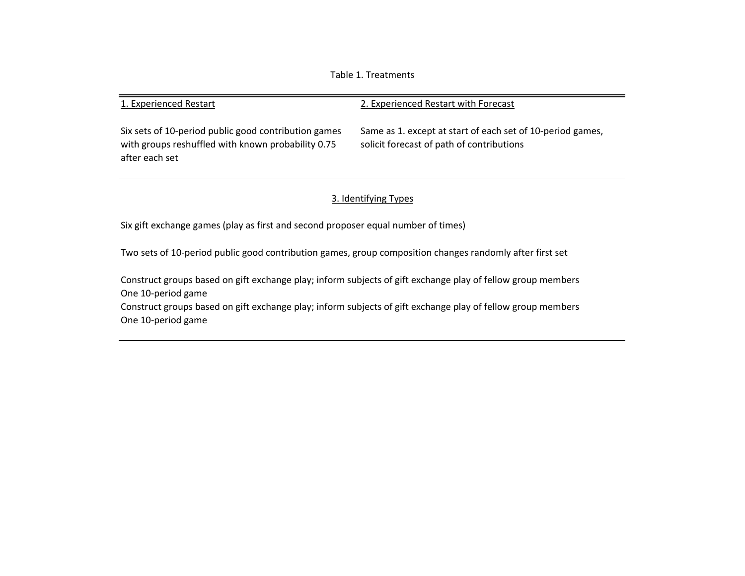Table 1. Treatments

#### 1. Experienced Restart 2. Experienced Restart with Forecast Same as 1. except at start of each set of 10‐period games, solicit forecast of path of contributions Six sets of 10‐period public good contribution games with groups reshuffled with known probability 0.75

## 3. Identifying Types

Six gift exchange games (play as first and second proposer equal number of times)

after each set

Two sets of 10‐period public good contribution games, group composition changes randomly after first set

Construct groups based on gift exchange play; inform subjects of gift exchange play of fellow group members One 10‐period game

Construct groups based on gift exchange play; inform subjects of gift exchange play of fellow group members One 10‐period game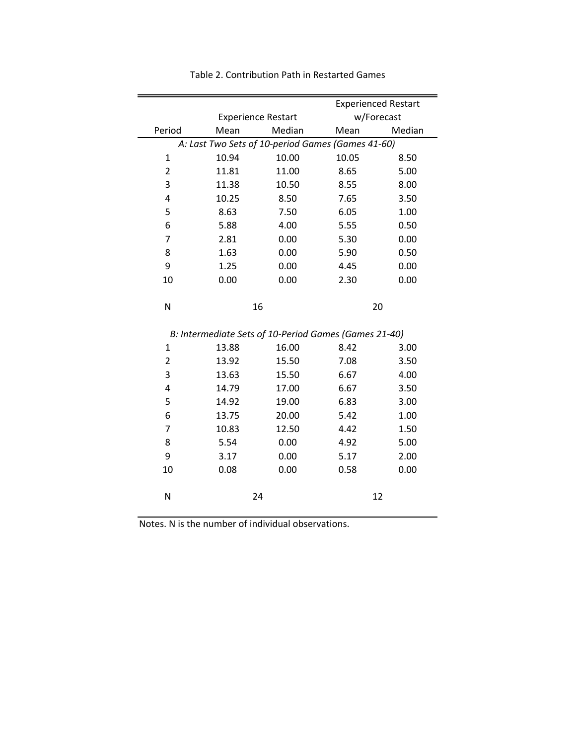|                |                           |                                                       |            | <b>Experienced Restart</b> |
|----------------|---------------------------|-------------------------------------------------------|------------|----------------------------|
|                | <b>Experience Restart</b> |                                                       | w/Forecast |                            |
| Period         | Mean                      | Median                                                | Mean       | Median                     |
|                |                           | A: Last Two Sets of 10-period Games (Games 41-60)     |            |                            |
| $\mathbf{1}$   | 10.94                     | 10.00                                                 | 10.05      | 8.50                       |
| $\overline{2}$ | 11.81                     | 11.00                                                 | 8.65       | 5.00                       |
| 3              | 11.38                     | 10.50                                                 | 8.55       | 8.00                       |
| 4              | 10.25                     | 8.50                                                  | 7.65       | 3.50                       |
| 5              | 8.63                      | 7.50                                                  | 6.05       | 1.00                       |
| 6              | 5.88                      | 4.00                                                  | 5.55       | 0.50                       |
| 7              | 2.81                      | 0.00                                                  | 5.30       | 0.00                       |
| 8              | 1.63                      | 0.00                                                  | 5.90       | 0.50                       |
| 9              | 1.25                      | 0.00                                                  | 4.45       | 0.00                       |
| 10             | 0.00                      | 0.00                                                  | 2.30       | 0.00                       |
|                |                           |                                                       |            |                            |
| N              |                           | 16                                                    |            | 20                         |
|                |                           |                                                       |            |                            |
|                |                           | B: Intermediate Sets of 10-Period Games (Games 21-40) |            |                            |
| $\mathbf{1}$   | 13.88                     | 16.00                                                 | 8.42       | 3.00                       |
| 2              | 13.92                     | 15.50                                                 | 7.08       | 3.50                       |
| 3              | 13.63                     | 15.50                                                 | 6.67       | 4.00                       |
| 4              | 14.79                     | 17.00                                                 | 6.67       | 3.50                       |
| 5              | 14.92                     | 19.00                                                 | 6.83       | 3.00                       |
| 6              | 13.75                     | 20.00                                                 | 5.42       | 1.00                       |
| 7              | 10.83                     | 12.50                                                 | 4.42       | 1.50                       |
| 8              | 5.54                      | 0.00                                                  | 4.92       | 5.00                       |
| 9              | 3.17                      | 0.00                                                  | 5.17       | 2.00                       |
| 10             | 0.08                      | 0.00                                                  | 0.58       | 0.00                       |
|                |                           |                                                       |            |                            |
| N              |                           | 24                                                    |            | 12                         |

Table 2. Contribution Path in Restarted Games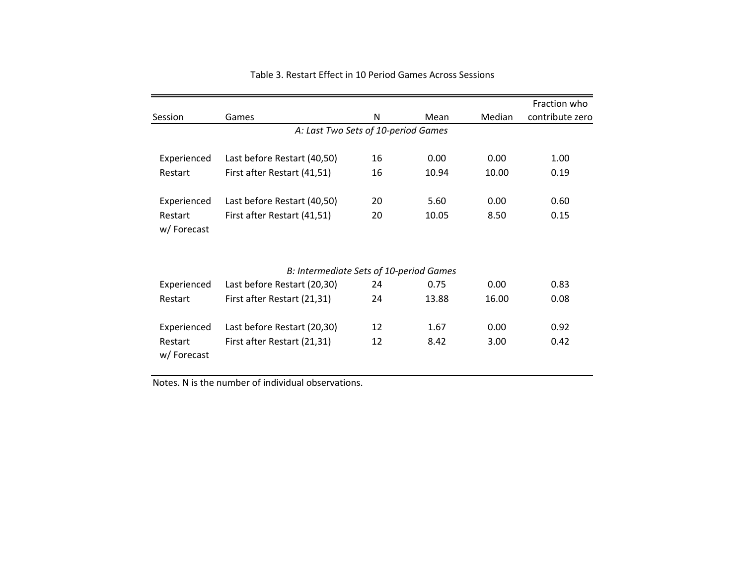|                       |                                         |    |       |               | Fraction who    |
|-----------------------|-----------------------------------------|----|-------|---------------|-----------------|
| Session               | Games                                   | N  | Mean  | <b>Median</b> | contribute zero |
|                       | A: Last Two Sets of 10-period Games     |    |       |               |                 |
| Experienced           | Last before Restart (40,50)             | 16 | 0.00  | 0.00          | 1.00            |
| Restart               | First after Restart (41,51)             | 16 | 10.94 | 10.00         | 0.19            |
| Experienced           | Last before Restart (40,50)             | 20 | 5.60  | 0.00          | 0.60            |
| Restart<br>w/Forecast | First after Restart (41,51)             | 20 | 10.05 | 8.50          | 0.15            |
|                       | B: Intermediate Sets of 10-period Games |    |       |               |                 |
| Experienced           | Last before Restart (20,30)             | 24 | 0.75  | 0.00          | 0.83            |
| Restart               | First after Restart (21,31)             | 24 | 13.88 | 16.00         | 0.08            |
| Experienced           | Last before Restart (20,30)             | 12 | 1.67  | 0.00          | 0.92            |
| Restart<br>w/Forecast | First after Restart (21,31)             | 12 | 8.42  | 3.00          | 0.42            |
|                       |                                         |    |       |               |                 |

#### Table 3. Restart Effect in 10 Period Games Across Sessions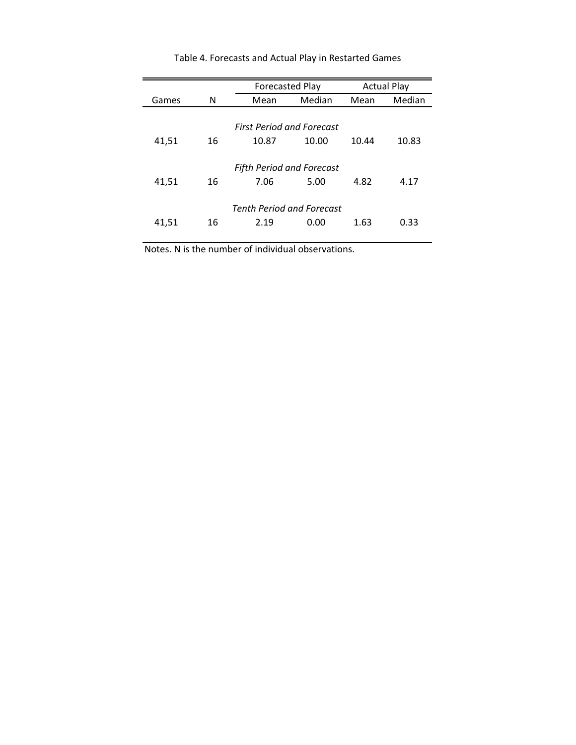|                                  |    | <b>Forecasted Play</b>           |        |       | <b>Actual Play</b> |  |  |  |  |
|----------------------------------|----|----------------------------------|--------|-------|--------------------|--|--|--|--|
| Games                            | N  | Mean                             | Median | Mean  | Median             |  |  |  |  |
|                                  |    |                                  |        |       |                    |  |  |  |  |
| <b>First Period and Forecast</b> |    |                                  |        |       |                    |  |  |  |  |
| 41,51                            | 16 | 10.87                            | 10.00  | 10.44 | 10.83              |  |  |  |  |
|                                  |    |                                  |        |       |                    |  |  |  |  |
|                                  |    | <b>Fifth Period and Forecast</b> |        |       |                    |  |  |  |  |
| 41,51                            | 16 | 7.06                             | 5.00   | 4.82  | 4.17               |  |  |  |  |
|                                  |    |                                  |        |       |                    |  |  |  |  |
| <b>Tenth Period and Forecast</b> |    |                                  |        |       |                    |  |  |  |  |
| 41,51                            | 16 | 2.19                             | 0.00   | 1.63  | 0.33               |  |  |  |  |
|                                  |    |                                  |        |       |                    |  |  |  |  |

Table 4. Forecasts and Actual Play in Restarted Games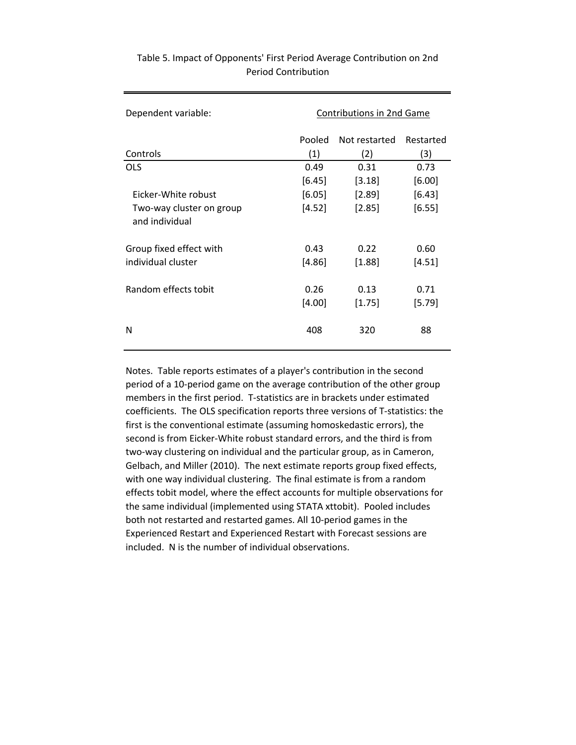| Dependent variable:                        | <b>Contributions in 2nd Game</b> |                |                |  |  |
|--------------------------------------------|----------------------------------|----------------|----------------|--|--|
|                                            | Pooled                           | Not restarted  | Restarted      |  |  |
| Controls                                   | (1)                              | (2)            | (3)            |  |  |
| <b>OLS</b>                                 | 0.49                             | 0.31           | 0.73           |  |  |
|                                            | $[6.45]$                         | [3.18]         | [6.00]         |  |  |
| Eicker-White robust                        | [6.05]                           | $[2.89]$       | [6.43]         |  |  |
| Two-way cluster on group<br>and individual | [4.52]                           | [2.85]         | [6.55]         |  |  |
| Group fixed effect with                    | 0.43                             | 0.22           | 0.60           |  |  |
| individual cluster                         | $[4.86]$                         | $[1.88]$       | [4.51]         |  |  |
| Random effects tobit                       | 0.26<br>[4.00]                   | 0.13<br>[1.75] | 0.71<br>[5.79] |  |  |
| N                                          | 408                              | 320            | 88             |  |  |

## Table 5. Impact of Opponents' First Period Average Contribution on 2nd Period Contribution

Notes. Table reports estimates of a player's contribution in the second period of a 10‐period game on the average contribution of the other group members in the first period. T-statistics are in brackets under estimated coefficients. The OLS specification reports three versions of T‐statistics: the first is the conventional estimate (assuming homoskedastic errors), the second is from Eicker‐White robust standard errors, and the third is from two‐way clustering on individual and the particular group, as in Cameron, Gelbach, and Miller (2010). The next estimate reports group fixed effects, with one way individual clustering. The final estimate is from a random effects tobit model, where the effect accounts for multiple observations for the same individual (implemented using STATA xttobit). Pooled includes both not restarted and restarted games. All 10‐period games in the Experienced Restart and Experienced Restart with Forecast sessions are included. N is the number of individual observations.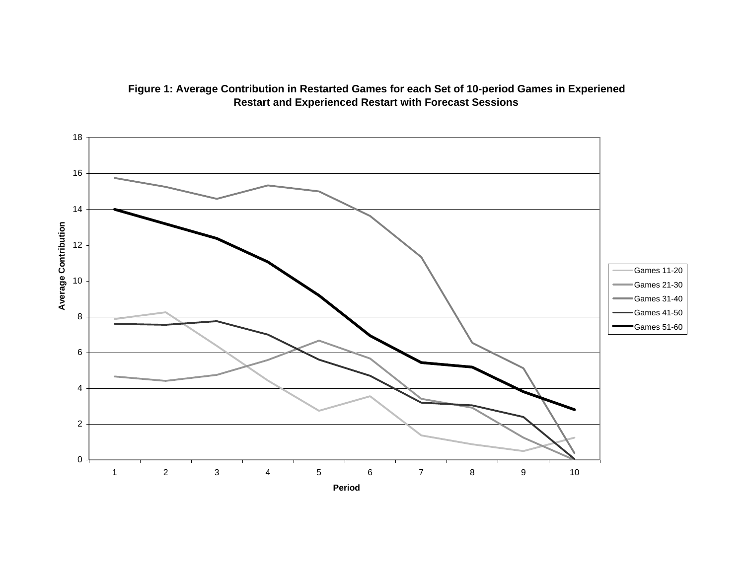

## **Figure 1: Average Contribution in Restarted Games for each Set of 10-period Games in Experiene d Restart and Experienced Restart with Forecast Sessions**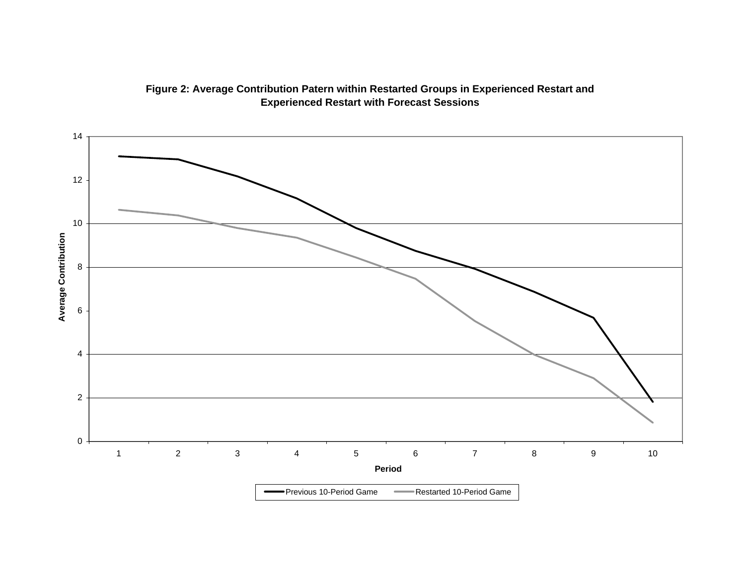

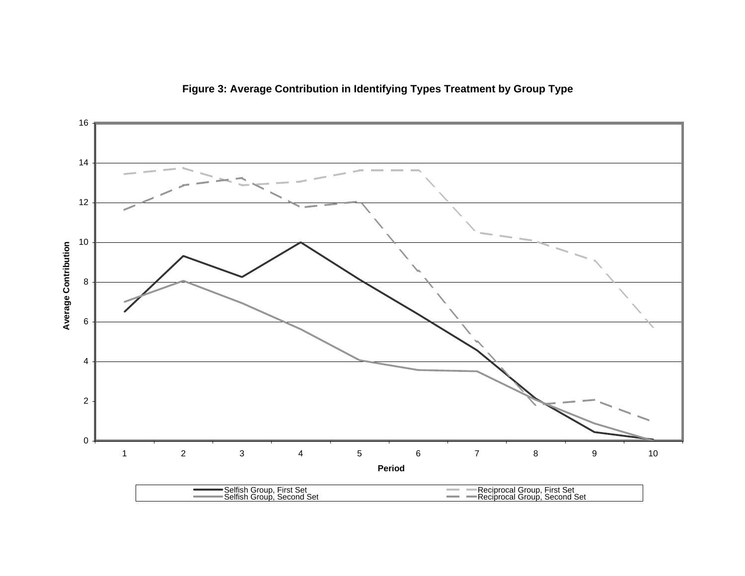

**Figure 3: Average Contribution in Identifying Types Treatment by Group Type**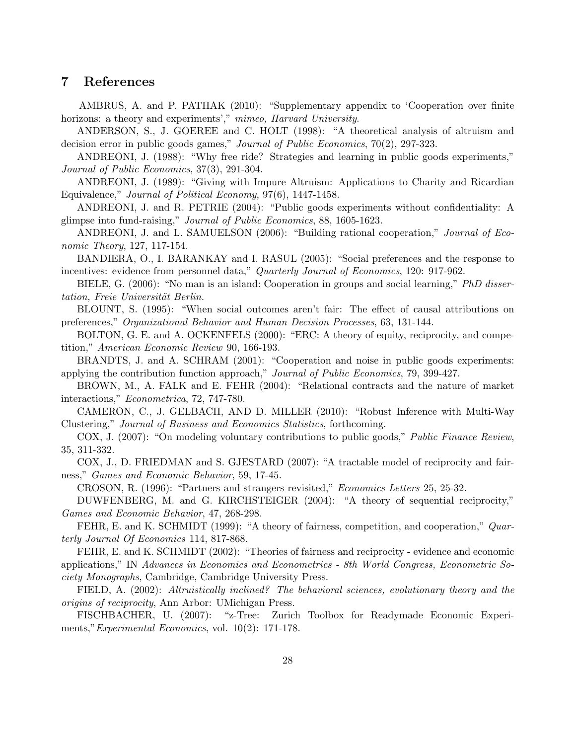## 7 References

AMBRUS, A. and P. PATHAK (2010): "Supplementary appendix to 'Cooperation over finite horizons: a theory and experiments'," mimeo, Harvard University.

ANDERSON, S., J. GOEREE and C. HOLT (1998): "A theoretical analysis of altruism and decision error in public goods games," Journal of Public Economics, 70(2), 297-323.

ANDREONI, J. (1988): "Why free ride? Strategies and learning in public goods experiments," Journal of Public Economics, 37(3), 291-304.

ANDREONI, J. (1989): "Giving with Impure Altruism: Applications to Charity and Ricardian Equivalence," Journal of Political Economy, 97(6), 1447-1458.

ANDREONI, J. and R. PETRIE (2004): "Public goods experiments without confidentiality: A glimpse into fund-raising," Journal of Public Economics, 88, 1605-1623.

ANDREONI, J. and L. SAMUELSON (2006): "Building rational cooperation," Journal of Economic Theory, 127, 117-154.

BANDIERA, O., I. BARANKAY and I. RASUL (2005): "Social preferences and the response to incentives: evidence from personnel data," Quarterly Journal of Economics, 120: 917-962.

BIELE, G. (2006): "No man is an island: Cooperation in groups and social learning," PhD dissertation, Freie Universität Berlin.

BLOUNT, S. (1995): "When social outcomes aren't fair: The effect of causal attributions on preferences," Organizational Behavior and Human Decision Processes, 63, 131-144.

BOLTON, G. E. and A. OCKENFELS (2000): "ERC: A theory of equity, reciprocity, and competition," American Economic Review 90, 166-193.

BRANDTS, J. and A. SCHRAM (2001): "Cooperation and noise in public goods experiments: applying the contribution function approach," Journal of Public Economics, 79, 399-427.

BROWN, M., A. FALK and E. FEHR (2004): "Relational contracts and the nature of market interactions," Econometrica, 72, 747-780.

CAMERON, C., J. GELBACH, AND D. MILLER (2010): "Robust Inference with Multi-Way Clustering," Journal of Business and Economics Statistics, forthcoming.

COX, J. (2007): "On modeling voluntary contributions to public goods," Public Finance Review, 35, 311-332.

COX, J., D. FRIEDMAN and S. GJESTARD (2007): "A tractable model of reciprocity and fairness," Games and Economic Behavior, 59, 17-45.

CROSON, R. (1996): "Partners and strangers revisited," Economics Letters 25, 25-32.

DUWFENBERG, M. and G. KIRCHSTEIGER (2004): "A theory of sequential reciprocity," Games and Economic Behavior, 47, 268-298.

FEHR, E. and K. SCHMIDT (1999): "A theory of fairness, competition, and cooperation," Quarterly Journal Of Economics 114, 817-868.

FEHR, E. and K. SCHMIDT (2002): "Theories of fairness and reciprocity - evidence and economic applications," IN Advances in Economics and Econometrics - 8th World Congress, Econometric Society Monographs, Cambridge, Cambridge University Press.

FIELD, A. (2002): Altruistically inclined? The behavioral sciences, evolutionary theory and the origins of reciprocity, Ann Arbor: UMichigan Press.

FISCHBACHER, U. (2007): "z-Tree: Zurich Toolbox for Readymade Economic Experiments," Experimental Economics, vol. 10(2): 171-178.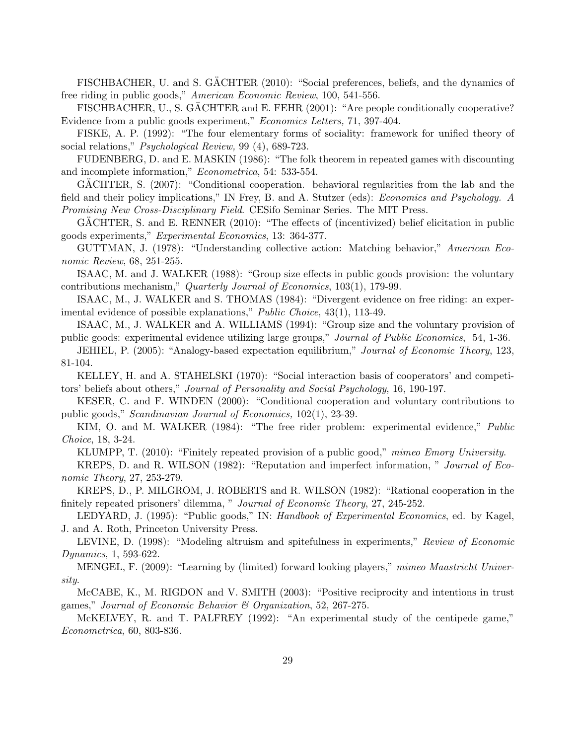FISCHBACHER, U. and S. GÄCHTER (2010): "Social preferences, beliefs, and the dynamics of free riding in public goods," American Economic Review, 100, 541-556.

FISCHBACHER, U., S. GÄCHTER and E. FEHR (2001): "Are people conditionally cooperative? Evidence from a public goods experiment," Economics Letters, 71, 397-404.

FISKE, A. P. (1992): "The four elementary forms of sociality: framework for unified theory of social relations," Psychological Review, 99 (4), 689-723.

FUDENBERG, D. and E. MASKIN (1986): "The folk theorem in repeated games with discounting and incomplete information," Econometrica, 54: 533-554.

GACHTER, S.  $(2007)$ : "Conditional cooperation. behavioral regularities from the lab and the field and their policy implications," IN Frey, B. and A. Stutzer (eds): Economics and Psychology. A Promising New Cross-Disciplinary Field. CESifo Seminar Series. The MIT Press.

GÄCHTER, S. and E. RENNER (2010): "The effects of (incentivized) belief elicitation in public goods experiments," Experimental Economics, 13: 364-377.

GUTTMAN, J. (1978): "Understanding collective action: Matching behavior," American Economic Review, 68, 251-255.

ISAAC, M. and J. WALKER (1988): "Group size effects in public goods provision: the voluntary contributions mechanism," Quarterly Journal of Economics, 103(1), 179-99.

ISAAC, M., J. WALKER and S. THOMAS (1984): "Divergent evidence on free riding: an experimental evidence of possible explanations," Public Choice, 43(1), 113-49.

ISAAC, M., J. WALKER and A. WILLIAMS (1994): "Group size and the voluntary provision of public goods: experimental evidence utilizing large groups," Journal of Public Economics, 54, 1-36.

JEHIEL, P. (2005): "Analogy-based expectation equilibrium," Journal of Economic Theory, 123, 81-104.

KELLEY, H. and A. STAHELSKI (1970): "Social interaction basis of cooperators' and competitors' beliefs about others," *Journal of Personality and Social Psychology*, 16, 190-197.

KESER, C. and F. WINDEN (2000): "Conditional cooperation and voluntary contributions to public goods," Scandinavian Journal of Economics, 102(1), 23-39.

KIM, O. and M. WALKER (1984): "The free rider problem: experimental evidence," *Public* Choice, 18, 3-24.

KLUMPP, T. (2010): "Finitely repeated provision of a public good," mimeo Emory University.

KREPS, D. and R. WILSON (1982): "Reputation and imperfect information, " Journal of Economic Theory, 27, 253-279.

KREPS, D., P. MILGROM, J. ROBERTS and R. WILSON (1982): "Rational cooperation in the finitely repeated prisoners' dilemma, " Journal of Economic Theory, 27, 245-252.

LEDYARD, J. (1995): "Public goods," IN: Handbook of Experimental Economics, ed. by Kagel, J. and A. Roth, Princeton University Press.

LEVINE, D. (1998): "Modeling altruism and spitefulness in experiments," Review of Economic Dynamics, 1, 593-622.

MENGEL, F. (2009): "Learning by (limited) forward looking players," mimeo Maastricht University.

McCABE, K., M. RIGDON and V. SMITH (2003): "Positive reciprocity and intentions in trust games," Journal of Economic Behavior & Organization, 52, 267-275.

McKELVEY, R. and T. PALFREY (1992): "An experimental study of the centipede game," Econometrica, 60, 803-836.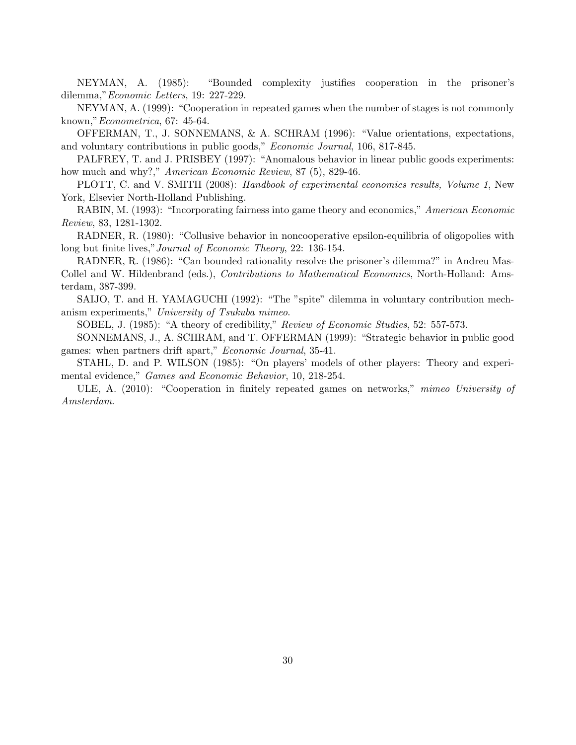NEYMAN, A. (1985): "Bounded complexity justifies cooperation in the prisoner's dilemma,"Economic Letters, 19: 227-229.

NEYMAN, A. (1999): "Cooperation in repeated games when the number of stages is not commonly known,"Econometrica, 67: 45-64.

OFFERMAN, T., J. SONNEMANS, & A. SCHRAM (1996): "Value orientations, expectations, and voluntary contributions in public goods," Economic Journal, 106, 817-845.

PALFREY, T. and J. PRISBEY (1997): "Anomalous behavior in linear public goods experiments: how much and why?," *American Economic Review*, 87 (5), 829-46.

PLOTT, C. and V. SMITH (2008): Handbook of experimental economics results, Volume 1, New York, Elsevier North-Holland Publishing.

RABIN, M. (1993): "Incorporating fairness into game theory and economics," American Economic Review, 83, 1281-1302.

RADNER, R. (1980): "Collusive behavior in noncooperative epsilon-equilibria of oligopolies with long but finite lives,"Journal of Economic Theory, 22: 136-154.

RADNER, R. (1986): "Can bounded rationality resolve the prisoner's dilemma?" in Andreu Mas-Collel and W. Hildenbrand (eds.), *Contributions to Mathematical Economics*, North-Holland: Amsterdam, 387-399.

SAIJO, T. and H. YAMAGUCHI (1992): "The "spite" dilemma in voluntary contribution mechanism experiments," University of Tsukuba mimeo.

SOBEL, J. (1985): "A theory of credibility," Review of Economic Studies, 52: 557-573.

SONNEMANS, J., A. SCHRAM, and T. OFFERMAN (1999): "Strategic behavior in public good games: when partners drift apart," Economic Journal, 35-41.

STAHL, D. and P. WILSON (1985): "On players' models of other players: Theory and experimental evidence," Games and Economic Behavior, 10, 218-254.

ULE, A. (2010): "Cooperation in finitely repeated games on networks," mimeo University of Amsterdam.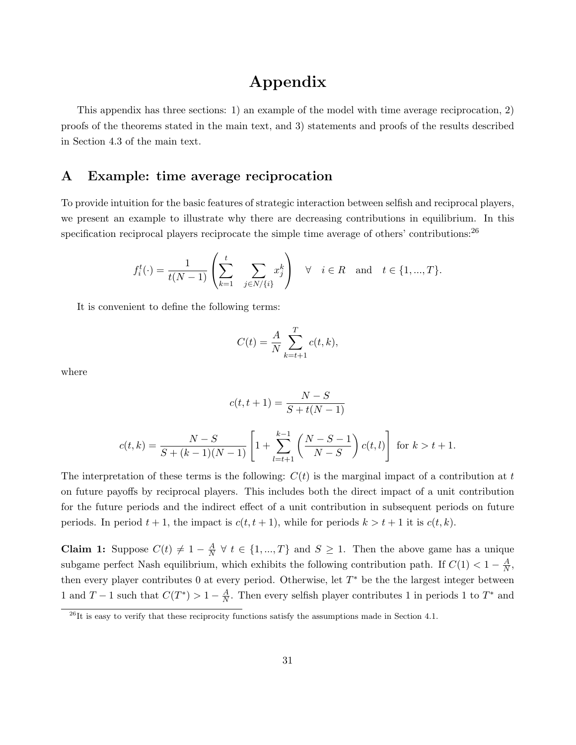## Appendix

This appendix has three sections: 1) an example of the model with time average reciprocation, 2) proofs of the theorems stated in the main text, and 3) statements and proofs of the results described in Section 4.3 of the main text.

## A Example: time average reciprocation

To provide intuition for the basic features of strategic interaction between selfish and reciprocal players, we present an example to illustrate why there are decreasing contributions in equilibrium. In this specification reciprocal players reciprocate the simple time average of others' contributions:  $^{26}$ 

$$
f_i^t(\cdot) = \frac{1}{t(N-1)} \left( \sum_{k=1}^t \sum_{j \in N/\{i\}} x_j^k \right) \quad \forall \quad i \in R \quad \text{and} \quad t \in \{1, ..., T\}.
$$

It is convenient to define the following terms:

$$
C(t) = \frac{A}{N} \sum_{k=t+1}^{T} c(t, k),
$$

where

$$
c(t, t+1) = \frac{N-S}{S+t(N-1)}
$$

$$
c(t,k) = \frac{N-S}{S+(k-1)(N-1)} \left[ 1 + \sum_{l=t+1}^{k-1} \left( \frac{N-S-1}{N-S} \right) c(t,l) \right] \text{ for } k > t+1.
$$

The interpretation of these terms is the following:  $C(t)$  is the marginal impact of a contribution at t on future payoffs by reciprocal players. This includes both the direct impact of a unit contribution for the future periods and the indirect effect of a unit contribution in subsequent periods on future periods. In period  $t + 1$ , the impact is  $c(t, t + 1)$ , while for periods  $k > t + 1$  it is  $c(t, k)$ .

Claim 1: Suppose  $C(t) \neq 1 - \frac{A}{N}$  $\frac{A}{N}$   $\forall$   $t \in \{1, ..., T\}$  and  $S \geq 1$ . Then the above game has a unique subgame perfect Nash equilibrium, which exhibits the following contribution path. If  $C(1) < 1 - \frac{A}{N}$  $\frac{A}{N}$ , then every player contributes 0 at every period. Otherwise, let  $T^*$  be the the largest integer between 1 and  $T-1$  such that  $C(T^*) > 1 - \frac{A}{N}$  $\frac{A}{N}$ . Then every selfish player contributes 1 in periods 1 to  $T^*$  and

 $\frac{26}{10}$  It is easy to verify that these reciprocity functions satisfy the assumptions made in Section 4.1.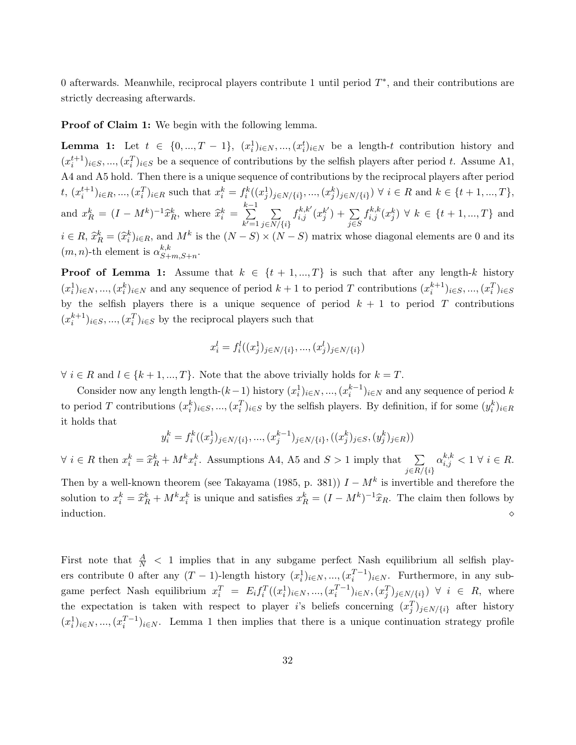0 afterwards. Meanwhile, reciprocal players contribute 1 until period  $T^*$ , and their contributions are strictly decreasing afterwards.

**Proof of Claim 1:** We begin with the following lemma.

**Lemma 1:** Let  $t \in \{0, ..., T-1\}$ ,  $(x_i^1)_{i \in N}, ..., (x_i^t)_{i \in N}$  be a length-t contribution history and  $(x_i^{t+1})_{i\in S},..., (x_i^T)_{i\in S}$  be a sequence of contributions by the selfish players after period t. Assume A1, A4 and A5 hold. Then there is a unique sequence of contributions by the reciprocal players after period  $t, (x_i^{t+1})_{i \in R}, ..., (x_i^T)_{i \in R}$  such that  $x_i^k = f_i^k((x_j^1)_{j \in N/\{i\}}, ..., (x_j^k)_{j \in N/\{i\}}) \forall i \in R$  and  $k \in \{t+1, ..., T\},$ and  $x_R^k = (I - M^k)^{-1} \hat{x}_R^k$ , where  $\hat{x}_i^k =$  $\sum_{ }^{k-1}$  $k'=1$  $\sum$  $j \in N/\{i\}$  $f_{i,j}^{k,k'}(x_j^{k'}))$  $_{j}^{k^{\prime }})+\sum$ j∈S  $f_{i,j}^{k,k}(x_j^k) \; \forall \; k \in \{t+1, ..., T\}$  and  $i \in R$ ,  $\hat{x}_R^k = (\hat{x}_i^k)_{i \in R}$ , and  $M^k$  is the  $(N - S) \times (N - S)$  matrix whose diagonal elements are 0 and its  $(m, n)$ -th element is  $\alpha_{S_{+}}^{k,k}$  $^{k,\kappa}_{S+m,S+n}.$ 

**Proof of Lemma 1:** Assume that  $k \in \{t+1, ..., T\}$  is such that after any length-k history  $(x_i^1)_{i\in\mathbb{N}},..., (x_i^k)_{i\in\mathbb{N}}$  and any sequence of period  $k+1$  to period T contributions  $(x_i^{k+1})_{i\in\mathbb{S}},..., (x_i^T)_{i\in\mathbb{S}}$ by the selfish players there is a unique sequence of period  $k + 1$  to period T contributions  $(x_i^{k+1})_{i\in S}, ..., (x_i^T)_{i\in S}$  by the reciprocal players such that

$$
x_i^l = f_i^l((x_j^1)_{j \in N / \{i\}}, ..., (x_j^l)_{j \in N / \{i\}})
$$

 $\forall i \in R$  and  $l \in \{k+1, ..., T\}$ . Note that the above trivially holds for  $k = T$ .

Consider now any length length- $(k-1)$  history  $(x_i^1)_{i \in N}$ , ...,  $(x_i^{k-1})_{i \in N}$  and any sequence of period k to period T contributions  $(x_i^k)_{i \in S}, ..., (x_i^T)_{i \in S}$  by the selfish players. By definition, if for some  $(y_i^k)_{i \in R}$ it holds that

$$
y_i^k = f_i^k((x_j^1)_{j \in N/\{i\}}, \dots, (x_j^{k-1})_{j \in N/\{i\}}, ((x_j^k)_{j \in S}, (y_j^k)_{j \in R}))
$$

 $\forall i \in R$  then  $x_i^k = \hat{x}_R^k + M^k x_i^k$ . Assumptions A4, A5 and  $S > 1$  imply that  $\sum_{i \in R/I}$  $j \in R/\{i\}$  $\alpha_{i,j}^{k,k} < 1 \ \forall \ i \in R.$ 

Then by a well-known theorem (see Takayama (1985, p. 381))  $I - M^k$  is invertible and therefore the solution to  $x_i^k = \hat{x}_R^k + M^k x_i^k$  is unique and satisfies  $x_R^k = (I - M^k)^{-1} \hat{x}_R$ . The claim then follows by induction.  $\Diamond$ 

First note that  $\frac{A}{N}$  < 1 implies that in any subgame perfect Nash equilibrium all selfish players contribute 0 after any  $(T-1)$ -length history  $(x_i^1)_{i\in N}$ , ...,  $(x_i^{T-1})_{i\in N}$ . Furthermore, in any subgame perfect Nash equilibrium  $x_i^T = E_i f_i^T((x_i^1)_{i \in N}, ..., (x_i^{T-1})_{i \in N}, (x_j^T)_{j \in N/\{i\}}) \forall i \in R$ , where the expectation is taken with respect to player i's beliefs concerning  $(x_j^T)_{j\in N/\{i\}}$  after history  $(x_i^1)_{i\in\mathbb{N}},..., (x_i^{T-1})_{i\in\mathbb{N}}.$  Lemma 1 then implies that there is a unique continuation strategy profile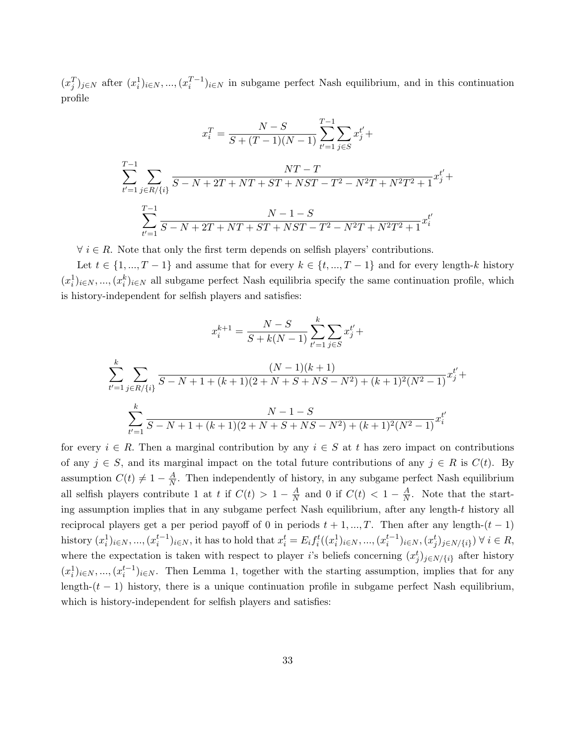$(x_j^T)_{j\in\mathbb{N}}$  after  $(x_i^1)_{i\in\mathbb{N}}$ , ...,  $(x_i^{T-1})_{i\in\mathbb{N}}$  in subgame perfect Nash equilibrium, and in this continuation profile

$$
x_i^T = \frac{N - S}{S + (T - 1)(N - 1)} \sum_{t'=1}^{T-1} \sum_{j \in S} x_j^{t'} + \sum_{t'=1}^{T-1} \sum_{j \in R/\{i\}} \frac{NT - T}{S - N + 2T + NT + ST + NST - T^2 - N^2T + N^2T^2 + 1} x_j^{t'} + \sum_{t'=1}^{T-1} \frac{N - 1 - S}{S - N + 2T + NT + ST + NST - T^2 - N^2T + N^2T^2 + 1} x_i^{t'}
$$

 $\forall i \in R$ . Note that only the first term depends on selfish players' contributions.

Let  $t \in \{1, ..., T-1\}$  and assume that for every  $k \in \{t, ..., T-1\}$  and for every length-k history  $(x_i^1)_{i\in\mathbb{N}},..., (x_i^k)_{i\in\mathbb{N}}$  all subgame perfect Nash equilibria specify the same continuation profile, which is history-independent for selfish players and satisfies:

$$
x_i^{k+1} = \frac{N-S}{S+k(N-1)} \sum_{t'=1}^k \sum_{j \in S} x_j^{t'} +
$$
  

$$
\sum_{t'=1}^k \sum_{j \in R/\{i\}} \frac{(N-1)(k+1)}{S-N+1+(k+1)(2+N+S+NS-N^2)+(k+1)^2(N^2-1)} x_j^{t'} +
$$
  

$$
\sum_{t'=1}^k \frac{N-1-S}{S-N+1+(k+1)(2+N+S+NS-N^2)+(k+1)^2(N^2-1)} x_i^{t'}
$$

for every  $i \in R$ . Then a marginal contribution by any  $i \in S$  at t has zero impact on contributions of any  $j \in S$ , and its marginal impact on the total future contributions of any  $j \in R$  is  $C(t)$ . By assumption  $C(t) \neq 1 - \frac{A}{N}$  $\frac{A}{N}$ . Then independently of history, in any subgame perfect Nash equilibrium all selfish players contribute 1 at t if  $C(t) > 1 - \frac{A}{N}$  $\frac{A}{N}$  and 0 if  $C(t) < 1 - \frac{A}{N}$  $\frac{A}{N}$ . Note that the starting assumption implies that in any subgame perfect Nash equilibrium, after any length-t history all reciprocal players get a per period payoff of 0 in periods  $t + 1, ..., T$ . Then after any length- $(t - 1)$  $\text{history } (x_i^1)_{i \in N}, ..., (x_i^{t-1})_{i \in N}, \text{ it has to hold that } x_i^t = E_i f_i^t((x_i^1)_{i \in N}, ..., (x_i^{t-1})_{i \in N}, (x_j^t)_{j \in N / \{i\}}) \forall i \in R$ where the expectation is taken with respect to player i's beliefs concerning  $(x_j^t)_{j \in N/\{i\}}$  after history  $(x_i^1)_{i\in\mathbb{N}},..., (x_i^{t-1})_{i\in\mathbb{N}}.$  Then Lemma 1, together with the starting assumption, implies that for any length- $(t - 1)$  history, there is a unique continuation profile in subgame perfect Nash equilibrium, which is history-independent for selfish players and satisfies: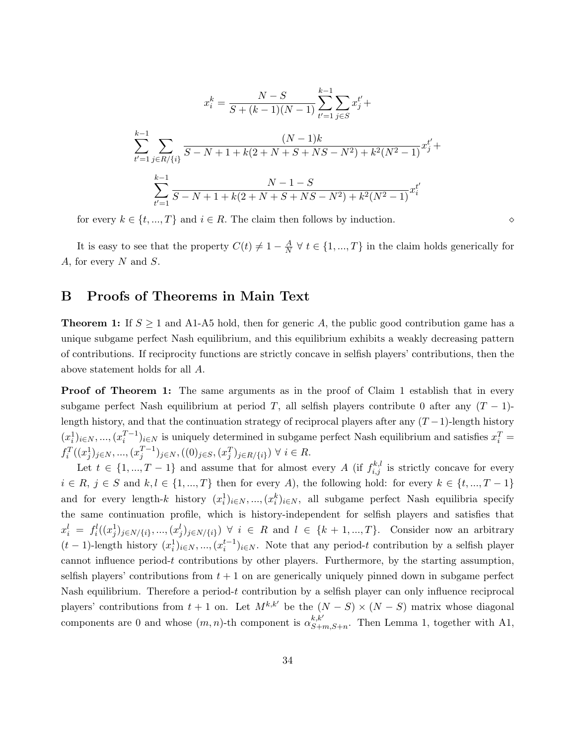$$
x_i^k = \frac{N - S}{S + (k - 1)(N - 1)} \sum_{t'=1}^{k-1} \sum_{j \in S} x_j^{t'} +
$$
  

$$
\sum_{t'=1}^{k-1} \sum_{j \in R/\{i\}} \frac{(N - 1)k}{S - N + 1 + k(2 + N + S + NS - N^2) + k^2(N^2 - 1)} x_j^{t'} +
$$
  

$$
\sum_{t'=1}^{k-1} \frac{N - 1 - S}{S - N + 1 + k(2 + N + S + NS - N^2) + k^2(N^2 - 1)} x_i^{t'}
$$

for every  $k \in \{t, ..., T\}$  and  $i \in R$ . The claim then follows by induction.

It is easy to see that the property  $C(t) \neq 1 - \frac{A}{N}$  $\frac{A}{N}$   $\forall$   $t \in \{1, ..., T\}$  in the claim holds generically for A, for every  $N$  and  $S$ .

## B Proofs of Theorems in Main Text

**Theorem 1:** If  $S \geq 1$  and A1-A5 hold, then for generic A, the public good contribution game has a unique subgame perfect Nash equilibrium, and this equilibrium exhibits a weakly decreasing pattern of contributions. If reciprocity functions are strictly concave in selfish players' contributions, then the above statement holds for all A.

**Proof of Theorem 1:** The same arguments as in the proof of Claim 1 establish that in every subgame perfect Nash equilibrium at period T, all selfish players contribute 0 after any  $(T - 1)$ length history, and that the continuation strategy of reciprocal players after any  $(T-1)$ -length history  $(x_i^1)_{i\in\mathbb{N}},..., (x_i^{T-1})_{i\in\mathbb{N}}$  is uniquely determined in subgame perfect Nash equilibrium and satisfies  $x_i^T =$  $f_i^T((x_j^1)_{j \in N}, ..., (x_j^{T-1})_{j \in N}, ((0)_{j \in S}, (x_j^T)_{j \in R / \{i\}}) \ \forall \ i \in R$ .

Let  $t \in \{1, ..., T-1\}$  and assume that for almost every A (if  $f_{i,j}^{k,l}$  is strictly concave for every  $i \in R, j \in S$  and  $k, l \in \{1, ..., T\}$  then for every A), the following hold: for every  $k \in \{t, ..., T - 1\}$ and for every length-k history  $(x_i^1)_{i \in N}$ , ...,  $(x_i^k)_{i \in N}$ , all subgame perfect Nash equilibria specify the same continuation profile, which is history-independent for selfish players and satisfies that  $x_i^l = f_i^l((x_j^1)_{j \in N/\{i\}},..., (x_j^l)_{j \in N/\{i\}}) \; \forall \; i \in R \text{ and } l \in \{k+1,...,T\}.$  Consider now an arbitrary  $(t-1)$ -length history  $(x_i^1)_{i\in\mathbb{N}}$ , ..., $(x_i^{t-1})_{i\in\mathbb{N}}$ . Note that any period-t contribution by a selfish player cannot influence period- $t$  contributions by other players. Furthermore, by the starting assumption, selfish players' contributions from  $t + 1$  on are generically uniquely pinned down in subgame perfect Nash equilibrium. Therefore a period-t contribution by a selfish player can only influence reciprocal players' contributions from  $t + 1$  on. Let  $M^{k,k'}$  be the  $(N - S) \times (N - S)$  matrix whose diagonal components are 0 and whose  $(m, n)$ -th component is  $\alpha_{S,+}^{k, k'}$  $S_{+m,S+n}^{k,\kappa}$ . Then Lemma 1, together with A1,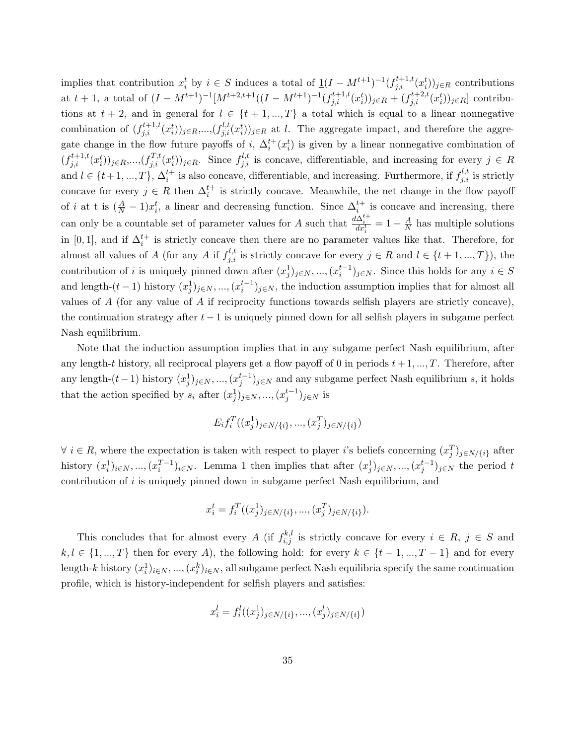implies that contribution  $x_i^t$  by  $i \in S$  induces a total of  $\underline{1}(I - M^{t+1})^{-1}(f_{j,i}^{t+1,t}(x_i^t))_{j \in R}$  contributions at  $t+1$ , a total of  $(I - M^{t+1})^{-1}[M^{t+2,t+1}((I - M^{t+1})^{-1}(f_{j,i}^{t+1,t}(x_i^t))_{j \in R} + (f_{j,i}^{t+2,t}(x_i^t))_{j \in R}]$  contributions at  $t + 2$ , and in general for  $l \in \{t + 1, ..., T\}$  a total which is equal to a linear nonnegative combination of  $(f_{j,i}^{t+1,t}(x_i^t))_{j\in R}$ ,..., $(f_{j,i}^{l,t}(x_i^t))_{j\in R}$  at l. The aggregate impact, and therefore the aggregate change in the flow future payoffs of i,  $\Delta_i^{t+}(x_i^t)$  is given by a linear nonnegative combination of  $(f_{j,i}^{t+1,t}(x_i^t))_{j\in R}$ ,..., $(f_{j,i}^{T,t}(x_i^t))_{j\in R}$ . Since  $f_{j,i}^{l,t}$  is concave, differentiable, and increasing for every  $j \in R$ and  $l \in \{t+1, ..., T\}$ ,  $\Delta_i^{t+}$  is also concave, differentiable, and increasing. Furthermore, if  $f_{j,i}^{l,t}$  is strictly concave for every  $j \in R$  then  $\Delta_i^{t+}$  is strictly concave. Meanwhile, the net change in the flow payoff of *i* at t is  $(\frac{A}{N} - 1)x_i^t$ , a linear and decreasing function. Since  $\Delta_i^{t+}$  is concave and increasing, there can only be a countable set of parameter values for A such that  $\frac{d\Delta_i^{t+}}{dx_i^t} = 1 - \frac{A}{N}$  $\frac{A}{N}$  has multiple solutions in [0, 1], and if  $\Delta_i^{t+}$  is strictly concave then there are no parameter values like that. Therefore, for almost all values of A (for any A if  $f_{j,i}^{l,t}$  is strictly concave for every  $j \in R$  and  $l \in \{t+1, ..., T\}$ ), the contribution of i is uniquely pinned down after  $(x_j^1)_{j \in N}$ , ...,  $(x_i^{t-1})_{j \in N}$ . Since this holds for any  $i \in S$ and length- $(t-1)$  history  $(x_j^1)_{j\in\mathbb{N}},..., (x_i^{t-1})_{j\in\mathbb{N}},$  the induction assumption implies that for almost all values of  $A$  (for any value of  $A$  if reciprocity functions towards selfish players are strictly concave), the continuation strategy after  $t - 1$  is uniquely pinned down for all selfish players in subgame perfect Nash equilibrium.

Note that the induction assumption implies that in any subgame perfect Nash equilibrium, after any length-t history, all reciprocal players get a flow payoff of 0 in periods  $t + 1, ..., T$ . Therefore, after any length- $(t-1)$  history  $(x_j^1)_{j \in N}$ , ..., $(x_j^{t-1})_{j \in N}$  and any subgame perfect Nash equilibrium s, it holds that the action specified by  $s_i$  after  $(x_j^1)_{j \in N}$ , ...,  $(x_j^{t-1})_{j \in N}$  is

$$
E_i f_i^T((x_j^1)_{j \in N/\{i\}}, ..., (x_j^T)_{j \in N/\{i\}})
$$

 $\forall i \in R$ , where the expectation is taken with respect to player i's beliefs concerning  $(x_j^T)_{j \in N \setminus \{i\}}$  after history  $(x_i^1)_{i\in N}$ , ...,  $(x_i^{T-1})_{i\in N}$ . Lemma 1 then implies that after  $(x_j^1)_{j\in N}$ , ...,  $(x_j^{t-1})_{j\in N}$  the period t contribution of  $i$  is uniquely pinned down in subgame perfect Nash equilibrium, and

$$
x_i^t = f_i^T((x_j^1)_{j \in N/\{i\}}, ..., (x_j^T)_{j \in N/\{i\}}).
$$

This concludes that for almost every A (if  $f_{i,j}^{k,l}$  is strictly concave for every  $i \in R$ ,  $j \in S$  and  $k, l \in \{1, ..., T\}$  then for every A), the following hold: for every  $k \in \{t-1, ..., T-1\}$  and for every length-k history  $(x_i^1)_{i \in N}, ..., (x_i^k)_{i \in N}$ , all subgame perfect Nash equilibria specify the same continuation profile, which is history-independent for selfish players and satisfies:

$$
x_i^l = f_i^l((x_j^1)_{j \in N / \{i\}}, ..., (x_j^l)_{j \in N / \{i\}})
$$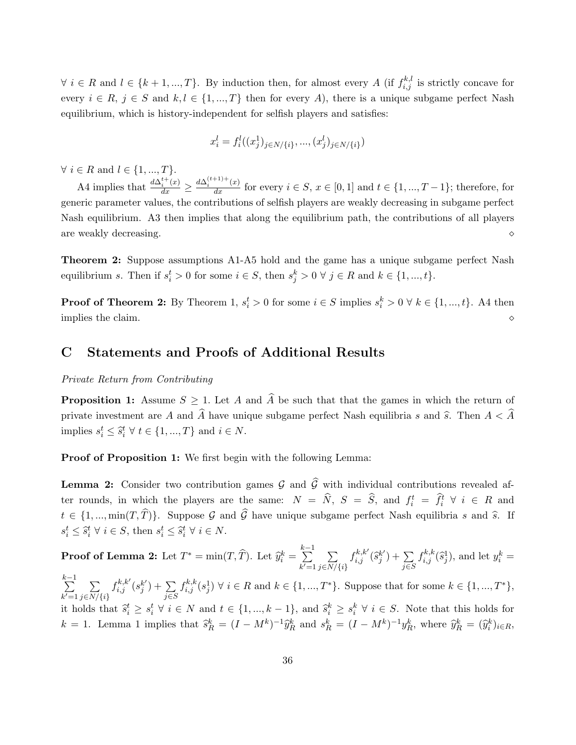$\forall i \in R$  and  $l \in \{k+1, ..., T\}$ . By induction then, for almost every A (if  $f_{i,j}^{k,l}$  is strictly concave for every  $i \in R$ ,  $j \in S$  and  $k, l \in \{1, ..., T\}$  then for every A), there is a unique subgame perfect Nash equilibrium, which is history-independent for selfish players and satisfies:

$$
x_i^l = f_i^l((x_j^1)_{j \in N / \{i\}}, ..., (x_j^l)_{j \in N / \{i\}})
$$

 $\forall i \in R$  and  $l \in \{1, ..., T\}.$ 

A4 implies that  $\frac{d\Delta_i^{t+}(x)}{dx} \ge \frac{d\Delta_i^{(t+1)+}(x)}{dx}$  for every  $i \in S$ ,  $x \in [0,1]$  and  $t \in \{1, ..., T-1\}$ ; therefore, for generic parameter values, the contributions of selfish players are weakly decreasing in subgame perfect Nash equilibrium. A3 then implies that along the equilibrium path, the contributions of all players are weakly decreasing.

**Theorem 2:** Suppose assumptions A1-A5 hold and the game has a unique subgame perfect Nash equilibrium s. Then if  $s_i^t > 0$  for some  $i \in S$ , then  $s_j^k > 0 \forall j \in R$  and  $k \in \{1, ..., t\}$ .

**Proof of Theorem 2:** By Theorem 1,  $s_i^t > 0$  for some  $i \in S$  implies  $s_i^k > 0 \forall k \in \{1, ..., t\}$ . A4 then implies the claim.

## C Statements and Proofs of Additional Results

#### Private Return from Contributing

**Proposition 1:** Assume  $S \geq 1$ . Let A and  $\widehat{A}$  be such that that the games in which the return of private investment are A and  $\widehat{A}$  have unique subgame perfect Nash equilibria s and  $\widehat{s}$ . Then  $A < \widehat{A}$ implies  $s_i^t \leq \hat{s}_i^t \ \forall \ t \in \{1, ..., T\}$  and  $i \in N$ .

Proof of Proposition 1: We first begin with the following Lemma:

**Lemma 2:** Consider two contribution games  $\mathcal{G}$  and  $\widehat{\mathcal{G}}$  with individual contributions revealed after rounds, in which the players are the same:  $N = \hat{N}$ ,  $S = \hat{S}$ , and  $f_i^t = \hat{f}_i^t \forall i \in R$  and  $t \in \{1, ..., \min(T, \widehat{T})\}$ . Suppose G and  $\widehat{G}$  have unique subgame perfect Nash equilibria s and  $\widehat{s}$ . If  $s_i^t \leq \hat{s}_i^t \ \forall \ i \in S$ , then  $s_i^t \leq \hat{s}_i^t \ \forall \ i \in N$ .

**Proof of Lemma 2:** Let  $T^* = \min(T, \widehat{T})$ . Let  $\widehat{y}_i^k =$  $\sum_{ }^{k-1}$  $k'=1$  $\sum$  $j \in N/\{i\}$  $f_{i,j}^{k,k'}(\widehat{s}_j^{k'}$  $_{j}^{k^{\prime }})+\sum$ j∈S  $f_{i,j}^{k,k}(\widehat{s}_j^1)$ , and let  $y_i^k =$  $\sum_{ }^{k-1}$  $k'=1$  $\sum$  $j \in N/\{i\}$  $f_{i,j}^{k,k'}(s_j^{k'}$  $_{j}^{k^{\prime }})+\sum$ j∈S  $f_{i,j}^{k,k}(s_j^1) \ \forall \ i \in R \text{ and } k \in \{1, ..., T^*\}.$  Suppose that for some  $k \in \{1, ..., T^*\},$ it holds that  $\hat{s}_i^t \geq s_i^t \; \forall \; i \in N$  and  $t \in \{1, ..., k-1\}$ , and  $\hat{s}_i^k \geq s_i^k \; \forall \; i \in S$ . Note that this holds for  $k = 1$ . Lemma 1 implies that  $\hat{s}_R^k = (I - M^k)^{-1} \hat{y}_R^k$  and  $s_R^k = (I - M^k)^{-1} y_R^k$ , where  $\hat{y}_R^k = (\hat{y}_i^k)_{i \in R}$ ,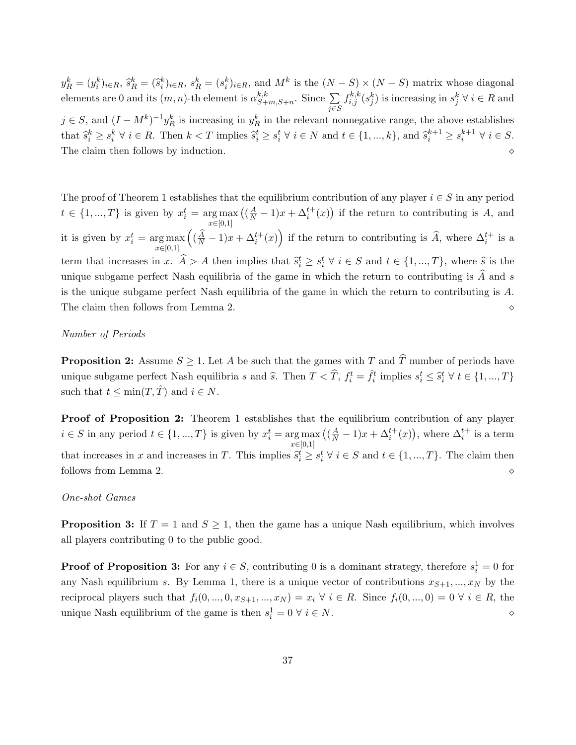$y_R^k = (y_i^k)_{i \in R}, \, \hat{s}_R^k = (\hat{s}_i^k)_{i \in R}, \, s_R^k = (s_i^k)_{i \in R},$  and  $M^k$  is the  $(N-S) \times (N-S)$  matrix whose diagonal elements are 0 and its  $(m, n)$ -th element is  $\alpha_{S+}^{k,k}$  ${}_{S+m,S+n}^{\kappa,\kappa}$ . Since  $\sum$ j∈S  $f_{i,j}^{k,k}(s_j^k)$  is increasing in  $s_j^k \forall i \in R$  and  $j \in S$ , and  $(I - M^k)^{-1} y_R^k$  is increasing in  $y_R^k$  in the relevant nonnegative range, the above establishes that  $\hat{s}_i^k \geq s_i^k \ \forall \ i \in R$ . Then  $k < T$  implies  $\hat{s}_i^t \geq s_i^t \ \forall \ i \in N$  and  $t \in \{1, ..., k\}$ , and  $\hat{s}_i^{k+1} \geq s_i^{k+1} \ \forall \ i \in S$ . The claim then follows by induction.

The proof of Theorem 1 establishes that the equilibrium contribution of any player  $i \in S$  in any period  $t \in \{1, ..., T\}$  is given by  $x_i^t = \arg \max_{x \in [0,1]}$  $((\frac{A}{N}-1)x + \Delta_i^{t+}(x))$  if the return to contributing is A, and it is given by  $x_i^t = \arg \max_{x \in [0,1]}$  $((\frac{\hat{A}}{N}-1)x + \Delta_i^{t+}(x))$  if the return to contributing is  $\hat{A}$ , where  $\Delta_i^{t+}$  is a term that increases in x.  $\widehat{A} > A$  then implies that  $\widehat{s}_i^t \geq s_i^t \ \forall \ i \in S$  and  $t \in \{1, ..., T\}$ , where  $\widehat{s}$  is the unique subgame perfect Nash equilibria of the game in which the return to contributing is  $A$  and  $s$ is the unique subgame perfect Nash equilibria of the game in which the return to contributing is A. The claim then follows from Lemma 2.

#### Number of Periods

**Proposition 2:** Assume  $S \geq 1$ . Let A be such that the games with T and  $\hat{T}$  number of periods have unique subgame perfect Nash equilibria s and  $\hat{s}$ . Then  $T < \hat{T}$ ,  $f_i^t = \hat{f}_i^t$  implies  $s_i^t \leq \hat{s}_i^t \forall t \in \{1, ..., T\}$ such that  $t \leq \min(T, \hat{T})$  and  $i \in N$ .

Proof of Proposition 2: Theorem 1 establishes that the equilibrium contribution of any player  $i \in S$  in any period  $t \in \{1, ..., T\}$  is given by  $x_i^t = \arg\max_{x \in [0,1]}$  $((\frac{A}{N}-1)x+\Delta_i^{t+}(x)),$  where  $\Delta_i^{t+}$  is a term that increases in x and increases in T. This implies  $\hat{s}_i^t \geq s_i^t \ \forall \ i \in S$  and  $t \in \{1, ..., T\}$ . The claim then follows from Lemma 2.

#### One-shot Games

**Proposition 3:** If  $T = 1$  and  $S \geq 1$ , then the game has a unique Nash equilibrium, which involves all players contributing 0 to the public good.

**Proof of Proposition 3:** For any  $i \in S$ , contributing 0 is a dominant strategy, therefore  $s_i^1 = 0$  for any Nash equilibrium s. By Lemma 1, there is a unique vector of contributions  $x_{S+1},..., x_N$  by the reciprocal players such that  $f_i(0, ..., 0, x_{S+1}, ..., x_N) = x_i \forall i \in R$ . Since  $f_i(0, ..., 0) = 0 \forall i \in R$ , the unique Nash equilibrium of the game is then  $s_i^1 = 0 \forall i \in N$ .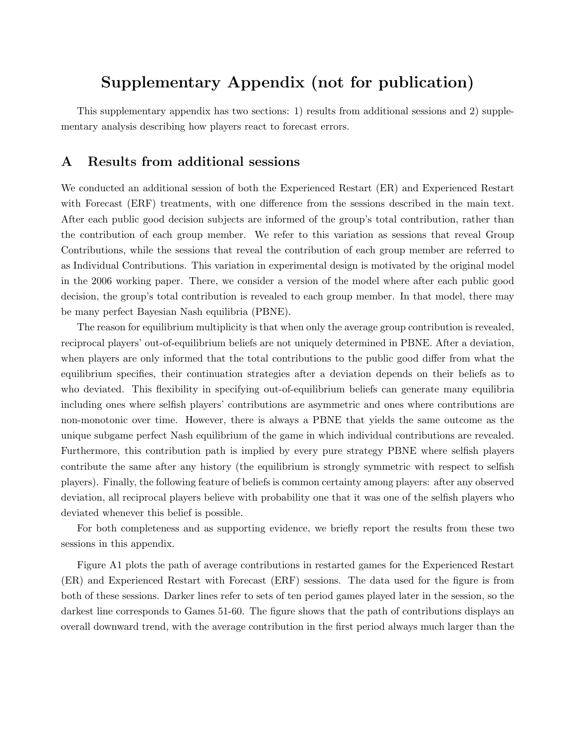## Supplementary Appendix (not for publication)

This supplementary appendix has two sections: 1) results from additional sessions and 2) supplementary analysis describing how players react to forecast errors.

## A Results from additional sessions

We conducted an additional session of both the Experienced Restart (ER) and Experienced Restart with Forecast (ERF) treatments, with one difference from the sessions described in the main text. After each public good decision subjects are informed of the group's total contribution, rather than the contribution of each group member. We refer to this variation as sessions that reveal Group Contributions, while the sessions that reveal the contribution of each group member are referred to as Individual Contributions. This variation in experimental design is motivated by the original model in the 2006 working paper. There, we consider a version of the model where after each public good decision, the group's total contribution is revealed to each group member. In that model, there may be many perfect Bayesian Nash equilibria (PBNE).

The reason for equilibrium multiplicity is that when only the average group contribution is revealed, reciprocal players' out-of-equilibrium beliefs are not uniquely determined in PBNE. After a deviation, when players are only informed that the total contributions to the public good differ from what the equilibrium specifies, their continuation strategies after a deviation depends on their beliefs as to who deviated. This flexibility in specifying out-of-equilibrium beliefs can generate many equilibria including ones where selfish players' contributions are asymmetric and ones where contributions are non-monotonic over time. However, there is always a PBNE that yields the same outcome as the unique subgame perfect Nash equilibrium of the game in which individual contributions are revealed. Furthermore, this contribution path is implied by every pure strategy PBNE where selfish players contribute the same after any history (the equilibrium is strongly symmetric with respect to selfish players). Finally, the following feature of beliefs is common certainty among players: after any observed deviation, all reciprocal players believe with probability one that it was one of the selfish players who deviated whenever this belief is possible.

For both completeness and as supporting evidence, we briefly report the results from these two sessions in this appendix.

Figure A1 plots the path of average contributions in restarted games for the Experienced Restart (ER) and Experienced Restart with Forecast (ERF) sessions. The data used for the figure is from both of these sessions. Darker lines refer to sets of ten period games played later in the session, so the darkest line corresponds to Games 51-60. The figure shows that the path of contributions displays an overall downward trend, with the average contribution in the first period always much larger than the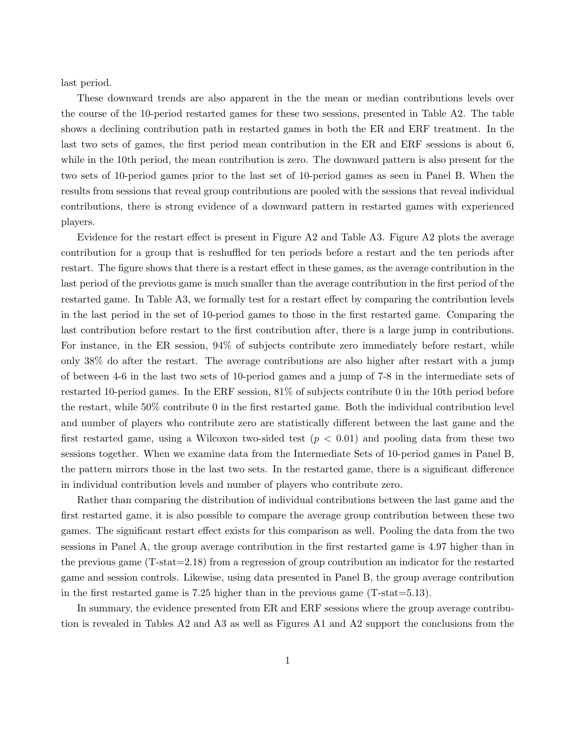last period.

These downward trends are also apparent in the the mean or median contributions levels over the course of the 10-period restarted games for these two sessions, presented in Table A2. The table shows a declining contribution path in restarted games in both the ER and ERF treatment. In the last two sets of games, the first period mean contribution in the ER and ERF sessions is about 6, while in the 10th period, the mean contribution is zero. The downward pattern is also present for the two sets of 10-period games prior to the last set of 10-period games as seen in Panel B. When the results from sessions that reveal group contributions are pooled with the sessions that reveal individual contributions, there is strong evidence of a downward pattern in restarted games with experienced players.

Evidence for the restart effect is present in Figure A2 and Table A3. Figure A2 plots the average contribution for a group that is reshuffled for ten periods before a restart and the ten periods after restart. The figure shows that there is a restart effect in these games, as the average contribution in the last period of the previous game is much smaller than the average contribution in the first period of the restarted game. In Table A3, we formally test for a restart effect by comparing the contribution levels in the last period in the set of 10-period games to those in the first restarted game. Comparing the last contribution before restart to the first contribution after, there is a large jump in contributions. For instance, in the ER session, 94% of subjects contribute zero immediately before restart, while only 38% do after the restart. The average contributions are also higher after restart with a jump of between 4-6 in the last two sets of 10-period games and a jump of 7-8 in the intermediate sets of restarted 10-period games. In the ERF session, 81% of subjects contribute 0 in the 10th period before the restart, while 50% contribute 0 in the first restarted game. Both the individual contribution level and number of players who contribute zero are statistically different between the last game and the first restarted game, using a Wilcoxon two-sided test  $(p < 0.01)$  and pooling data from these two sessions together. When we examine data from the Intermediate Sets of 10-period games in Panel B, the pattern mirrors those in the last two sets. In the restarted game, there is a significant difference in individual contribution levels and number of players who contribute zero.

Rather than comparing the distribution of individual contributions between the last game and the first restarted game, it is also possible to compare the average group contribution between these two games. The significant restart effect exists for this comparison as well. Pooling the data from the two sessions in Panel A, the group average contribution in the first restarted game is 4.97 higher than in the previous game (T-stat=2.18) from a regression of group contribution an indicator for the restarted game and session controls. Likewise, using data presented in Panel B, the group average contribution in the first restarted game is 7.25 higher than in the previous game (T-stat=5.13).

In summary, the evidence presented from ER and ERF sessions where the group average contribution is revealed in Tables A2 and A3 as well as Figures A1 and A2 support the conclusions from the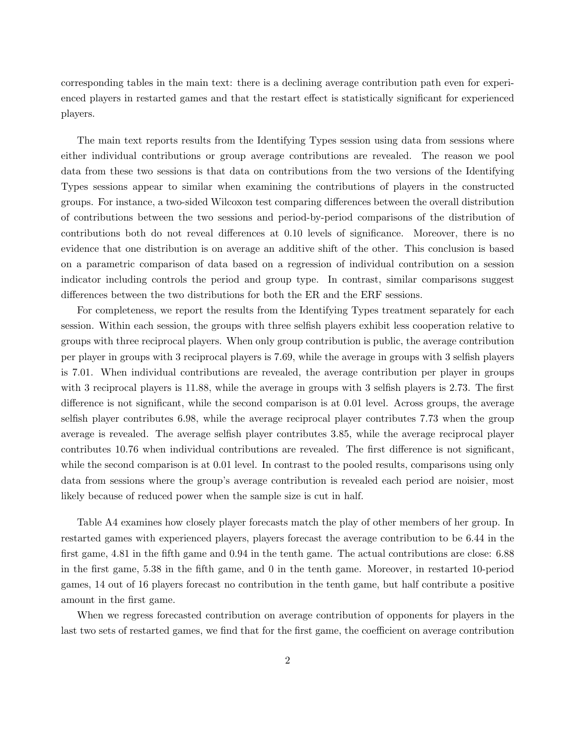corresponding tables in the main text: there is a declining average contribution path even for experienced players in restarted games and that the restart effect is statistically significant for experienced players.

The main text reports results from the Identifying Types session using data from sessions where either individual contributions or group average contributions are revealed. The reason we pool data from these two sessions is that data on contributions from the two versions of the Identifying Types sessions appear to similar when examining the contributions of players in the constructed groups. For instance, a two-sided Wilcoxon test comparing differences between the overall distribution of contributions between the two sessions and period-by-period comparisons of the distribution of contributions both do not reveal differences at 0.10 levels of significance. Moreover, there is no evidence that one distribution is on average an additive shift of the other. This conclusion is based on a parametric comparison of data based on a regression of individual contribution on a session indicator including controls the period and group type. In contrast, similar comparisons suggest differences between the two distributions for both the ER and the ERF sessions.

For completeness, we report the results from the Identifying Types treatment separately for each session. Within each session, the groups with three selfish players exhibit less cooperation relative to groups with three reciprocal players. When only group contribution is public, the average contribution per player in groups with 3 reciprocal players is 7.69, while the average in groups with 3 selfish players is 7.01. When individual contributions are revealed, the average contribution per player in groups with 3 reciprocal players is 11.88, while the average in groups with 3 selfish players is 2.73. The first difference is not significant, while the second comparison is at 0.01 level. Across groups, the average selfish player contributes 6.98, while the average reciprocal player contributes 7.73 when the group average is revealed. The average selfish player contributes 3.85, while the average reciprocal player contributes 10.76 when individual contributions are revealed. The first difference is not significant, while the second comparison is at 0.01 level. In contrast to the pooled results, comparisons using only data from sessions where the group's average contribution is revealed each period are noisier, most likely because of reduced power when the sample size is cut in half.

Table A4 examines how closely player forecasts match the play of other members of her group. In restarted games with experienced players, players forecast the average contribution to be 6.44 in the first game, 4.81 in the fifth game and 0.94 in the tenth game. The actual contributions are close: 6.88 in the first game, 5.38 in the fifth game, and 0 in the tenth game. Moreover, in restarted 10-period games, 14 out of 16 players forecast no contribution in the tenth game, but half contribute a positive amount in the first game.

When we regress forecasted contribution on average contribution of opponents for players in the last two sets of restarted games, we find that for the first game, the coefficient on average contribution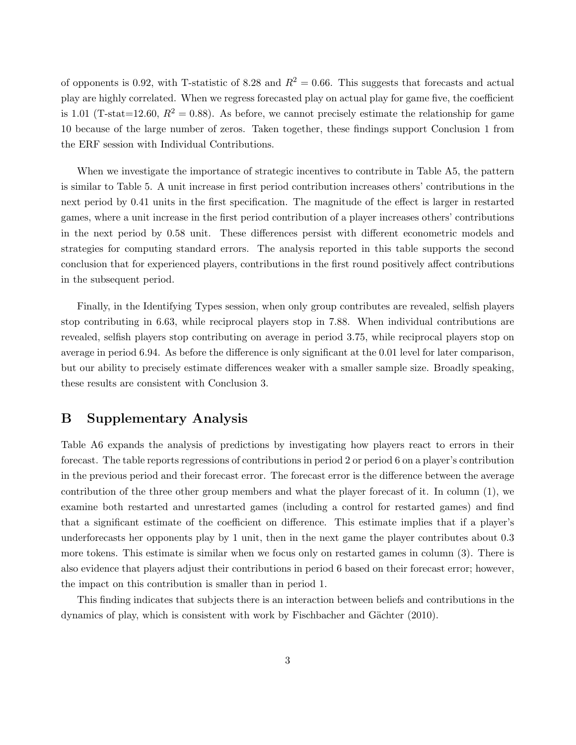of opponents is 0.92, with T-statistic of 8.28 and  $R^2 = 0.66$ . This suggests that forecasts and actual play are highly correlated. When we regress forecasted play on actual play for game five, the coefficient is 1.01 (T-stat=12.60,  $R^2 = 0.88$ ). As before, we cannot precisely estimate the relationship for game 10 because of the large number of zeros. Taken together, these findings support Conclusion 1 from the ERF session with Individual Contributions.

When we investigate the importance of strategic incentives to contribute in Table A5, the pattern is similar to Table 5. A unit increase in first period contribution increases others' contributions in the next period by 0.41 units in the first specification. The magnitude of the effect is larger in restarted games, where a unit increase in the first period contribution of a player increases others' contributions in the next period by 0.58 unit. These differences persist with different econometric models and strategies for computing standard errors. The analysis reported in this table supports the second conclusion that for experienced players, contributions in the first round positively affect contributions in the subsequent period.

Finally, in the Identifying Types session, when only group contributes are revealed, selfish players stop contributing in 6.63, while reciprocal players stop in 7.88. When individual contributions are revealed, selfish players stop contributing on average in period 3.75, while reciprocal players stop on average in period 6.94. As before the difference is only significant at the 0.01 level for later comparison, but our ability to precisely estimate differences weaker with a smaller sample size. Broadly speaking, these results are consistent with Conclusion 3.

## B Supplementary Analysis

Table A6 expands the analysis of predictions by investigating how players react to errors in their forecast. The table reports regressions of contributions in period 2 or period 6 on a player's contribution in the previous period and their forecast error. The forecast error is the difference between the average contribution of the three other group members and what the player forecast of it. In column (1), we examine both restarted and unrestarted games (including a control for restarted games) and find that a significant estimate of the coefficient on difference. This estimate implies that if a player's underforecasts her opponents play by 1 unit, then in the next game the player contributes about 0.3 more tokens. This estimate is similar when we focus only on restarted games in column (3). There is also evidence that players adjust their contributions in period 6 based on their forecast error; however, the impact on this contribution is smaller than in period 1.

This finding indicates that subjects there is an interaction between beliefs and contributions in the dynamics of play, which is consistent with work by Fischbacher and Gächter (2010).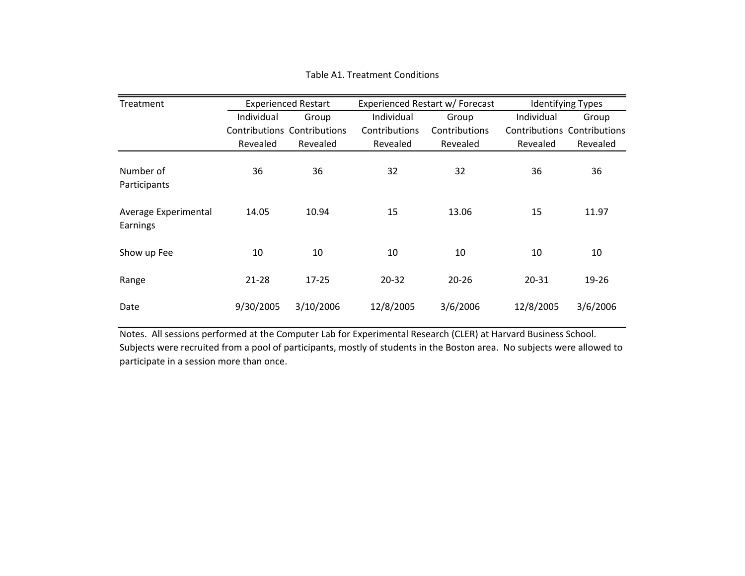| Treatment                        |            | <b>Experienced Restart</b>  |               | Experienced Restart w/ Forecast |                                    | <b>Identifying Types</b> |  |
|----------------------------------|------------|-----------------------------|---------------|---------------------------------|------------------------------------|--------------------------|--|
|                                  | Individual | Group                       | Individual    | Group                           | Individual                         | Group                    |  |
|                                  |            | Contributions Contributions | Contributions | Contributions                   | <b>Contributions Contributions</b> |                          |  |
|                                  | Revealed   | Revealed                    | Revealed      | Revealed                        | Revealed                           | Revealed                 |  |
| Number of<br>Participants        | 36         | 36                          | 32            | 32                              | 36                                 | 36                       |  |
| Average Experimental<br>Earnings | 14.05      | 10.94                       | 15            | 13.06                           | 15                                 | 11.97                    |  |
| Show up Fee                      | 10         | 10                          | 10            | 10                              | 10                                 | 10                       |  |
| Range                            | $21 - 28$  | $17 - 25$                   | $20 - 32$     | $20 - 26$                       | 20-31                              | 19-26                    |  |
| Date                             | 9/30/2005  | 3/10/2006                   | 12/8/2005     | 3/6/2006                        | 12/8/2005                          | 3/6/2006                 |  |

Table A1. Treatment Conditions

Notes. All sessions performed at the Computer Lab for Experimental Research (CLER) at Harvard Business School. Subjects were recruited from <sup>a</sup> pool of participants, mostly of students in the Boston area. No subjects were allowed to participate in <sup>a</sup> session more than once.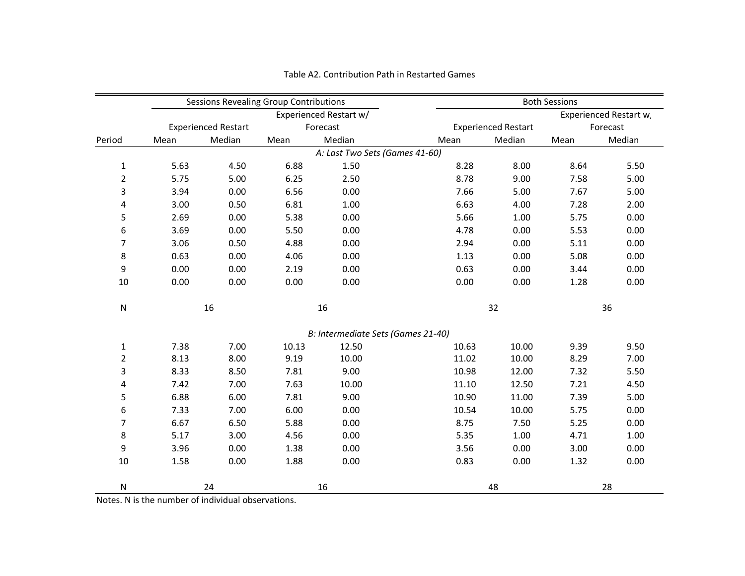|                |      |                            | Sessions Revealing Group Contributions |                                    |       | <b>Both Sessions</b>       |          |                       |  |
|----------------|------|----------------------------|----------------------------------------|------------------------------------|-------|----------------------------|----------|-----------------------|--|
|                |      |                            |                                        | Experienced Restart w/             |       |                            |          | Experienced Restart w |  |
|                |      | <b>Experienced Restart</b> |                                        | Forecast                           |       | <b>Experienced Restart</b> | Forecast |                       |  |
| Period         | Mean | Median                     | Mean                                   | Median                             | Mean  | Median                     | Mean     | Median                |  |
|                |      |                            |                                        | A: Last Two Sets (Games 41-60)     |       |                            |          |                       |  |
| 1              | 5.63 | 4.50                       | 6.88                                   | 1.50                               | 8.28  | 8.00                       | 8.64     | 5.50                  |  |
| $\overline{2}$ | 5.75 | 5.00                       | 6.25                                   | 2.50                               | 8.78  | 9.00                       | 7.58     | 5.00                  |  |
| 3              | 3.94 | 0.00                       | 6.56                                   | 0.00                               | 7.66  | 5.00                       | 7.67     | 5.00                  |  |
| 4              | 3.00 | 0.50                       | 6.81                                   | 1.00                               | 6.63  | 4.00                       | 7.28     | 2.00                  |  |
| 5              | 2.69 | 0.00                       | 5.38                                   | 0.00                               | 5.66  | 1.00                       | 5.75     | 0.00                  |  |
| 6              | 3.69 | 0.00                       | 5.50                                   | 0.00                               | 4.78  | 0.00                       | 5.53     | 0.00                  |  |
| 7              | 3.06 | 0.50                       | 4.88                                   | 0.00                               | 2.94  | 0.00                       | 5.11     | 0.00                  |  |
| 8              | 0.63 | 0.00                       | 4.06                                   | 0.00                               | 1.13  | 0.00                       | 5.08     | 0.00                  |  |
| 9              | 0.00 | 0.00                       | 2.19                                   | 0.00                               | 0.63  | 0.00                       | 3.44     | 0.00                  |  |
| 10             | 0.00 | 0.00                       | 0.00                                   | 0.00                               | 0.00  | 0.00                       | 1.28     | 0.00                  |  |
| ${\sf N}$      |      | 16                         |                                        | 16                                 | 32    |                            | 36       |                       |  |
|                |      |                            |                                        | B: Intermediate Sets (Games 21-40) |       |                            |          |                       |  |
| $\mathbf{1}$   | 7.38 | 7.00                       | 10.13                                  | 12.50                              | 10.63 | 10.00                      | 9.39     | 9.50                  |  |
| $\overline{2}$ | 8.13 | 8.00                       | 9.19                                   | 10.00                              | 11.02 | 10.00                      | 8.29     | 7.00                  |  |
| 3              | 8.33 | 8.50                       | 7.81                                   | 9.00                               | 10.98 | 12.00                      | 7.32     | 5.50                  |  |
| 4              | 7.42 | 7.00                       | 7.63                                   | 10.00                              | 11.10 | 12.50                      | 7.21     | 4.50                  |  |
| 5              | 6.88 | 6.00                       | 7.81                                   | 9.00                               | 10.90 | 11.00                      | 7.39     | 5.00                  |  |
| 6              | 7.33 | 7.00                       | 6.00                                   | 0.00                               | 10.54 | 10.00                      | 5.75     | 0.00                  |  |
| $\overline{7}$ | 6.67 | 6.50                       | 5.88                                   | 0.00                               | 8.75  | 7.50                       | 5.25     | 0.00                  |  |
| 8              | 5.17 | 3.00                       | 4.56                                   | 0.00                               | 5.35  | 1.00                       | 4.71     | 1.00                  |  |
| 9              | 3.96 | 0.00                       | 1.38                                   | 0.00                               | 3.56  | 0.00                       | 3.00     | 0.00                  |  |
| 10             | 1.58 | 0.00                       | 1.88                                   | 0.00                               | 0.83  | 0.00                       | 1.32     | 0.00                  |  |
| ${\sf N}$      |      | 24                         |                                        | 16                                 |       | 48                         |          | 28                    |  |

Table A2. Contribution Path in Restarted Games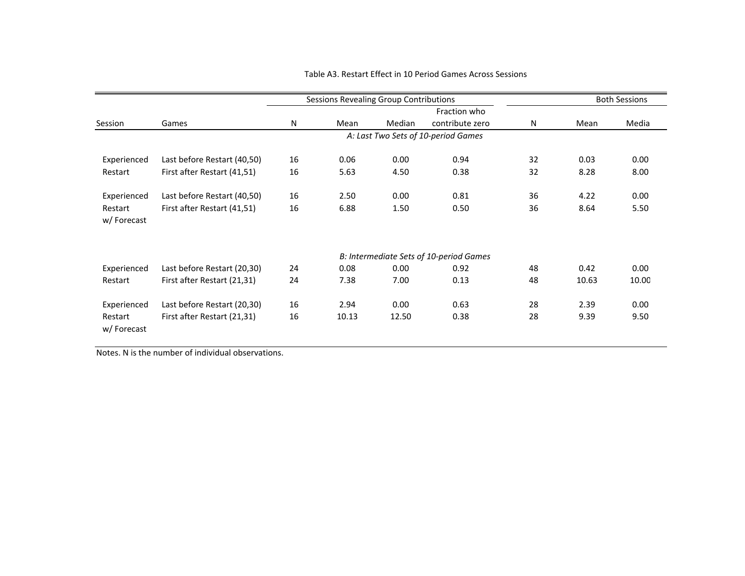|                       |                             |    | <b>Sessions Revealing Group Contributions</b> |        |                                         |    |       | <b>Both Sessions</b> |
|-----------------------|-----------------------------|----|-----------------------------------------------|--------|-----------------------------------------|----|-------|----------------------|
|                       |                             |    |                                               |        | Fraction who                            |    |       |                      |
| Session               | Games                       | N  | Mean                                          | Median | contribute zero                         | N  | Mean  | Media                |
|                       |                             |    |                                               |        | A: Last Two Sets of 10-period Games     |    |       |                      |
| Experienced           | Last before Restart (40,50) | 16 | 0.06                                          | 0.00   | 0.94                                    | 32 | 0.03  | 0.00                 |
| Restart               | First after Restart (41,51) | 16 | 5.63                                          | 4.50   | 0.38                                    | 32 | 8.28  | 8.00                 |
| Experienced           | Last before Restart (40,50) | 16 | 2.50                                          | 0.00   | 0.81                                    | 36 | 4.22  | 0.00                 |
| Restart<br>w/Forecast | First after Restart (41,51) | 16 | 6.88                                          | 1.50   | 0.50                                    | 36 | 8.64  | 5.50                 |
|                       |                             |    |                                               |        | B: Intermediate Sets of 10-period Games |    |       |                      |
| Experienced           | Last before Restart (20,30) | 24 | 0.08                                          | 0.00   | 0.92                                    | 48 | 0.42  | 0.00                 |
| Restart               | First after Restart (21,31) | 24 | 7.38                                          | 7.00   | 0.13                                    | 48 | 10.63 | 10.00                |
| Experienced           | Last before Restart (20,30) | 16 | 2.94                                          | 0.00   | 0.63                                    | 28 | 2.39  | 0.00                 |
| Restart<br>w/Forecast | First after Restart (21,31) | 16 | 10.13                                         | 12.50  | 0.38                                    | 28 | 9.39  | 9.50                 |

#### Table A3. Restart Effect in 10 Period Games Across Sessions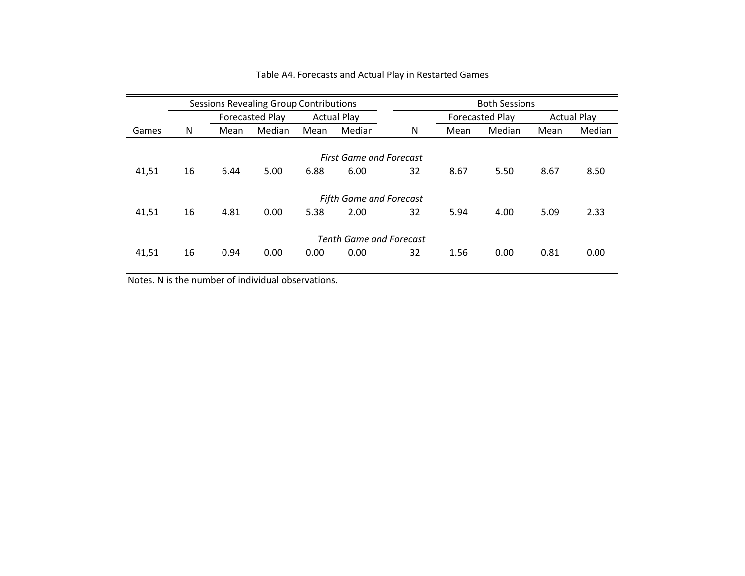|       |    |      | <b>Sessions Revealing Group Contributions</b> |      |                                |    | <b>Both Sessions</b> |                        |      |                    |  |
|-------|----|------|-----------------------------------------------|------|--------------------------------|----|----------------------|------------------------|------|--------------------|--|
|       |    |      | <b>Forecasted Play</b>                        |      | <b>Actual Play</b>             |    |                      | <b>Forecasted Play</b> |      | <b>Actual Play</b> |  |
| Games | N  | Mean | Median                                        | Mean | Median                         | N  | Mean                 | Median                 | Mean | Median             |  |
|       |    |      |                                               |      |                                |    |                      |                        |      |                    |  |
|       |    |      |                                               |      | <b>First Game and Forecast</b> |    |                      |                        |      |                    |  |
| 41,51 | 16 | 6.44 | 5.00                                          | 6.88 | 6.00                           | 32 | 8.67                 | 5.50                   | 8.67 | 8.50               |  |
|       |    |      |                                               |      |                                |    |                      |                        |      |                    |  |
|       |    |      |                                               |      | <b>Fifth Game and Forecast</b> |    |                      |                        |      |                    |  |
| 41,51 | 16 | 4.81 | 0.00                                          | 5.38 | 2.00                           | 32 | 5.94                 | 4.00                   | 5.09 | 2.33               |  |
|       |    |      |                                               |      |                                |    |                      |                        |      |                    |  |
|       |    |      |                                               |      | <b>Tenth Game and Forecast</b> |    |                      |                        |      |                    |  |
| 41,51 | 16 | 0.94 | 0.00                                          | 0.00 | 0.00                           | 32 | 1.56                 | 0.00                   | 0.81 | 0.00               |  |
|       |    |      |                                               |      |                                |    |                      |                        |      |                    |  |

#### Table A4. Forecasts and Actual Play in Restarted Games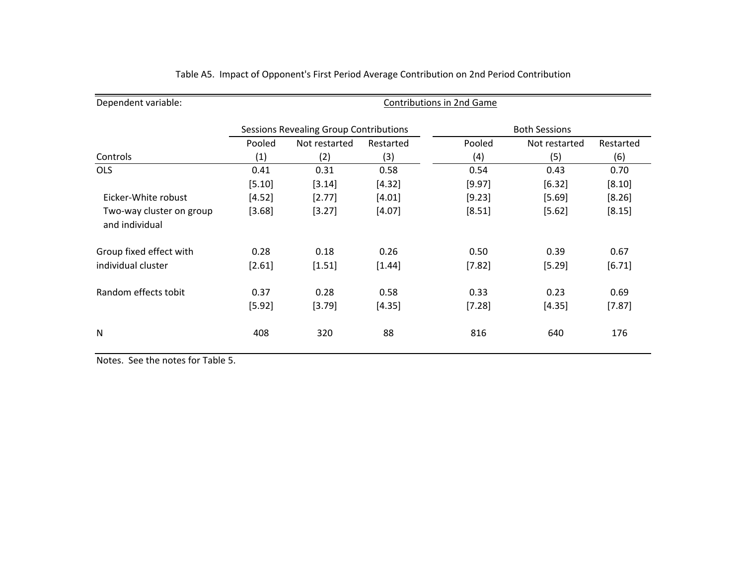| Dependent variable:                        | Contributions in 2nd Game |                                               |           |          |                      |           |  |  |  |
|--------------------------------------------|---------------------------|-----------------------------------------------|-----------|----------|----------------------|-----------|--|--|--|
|                                            |                           | <b>Sessions Revealing Group Contributions</b> |           |          | <b>Both Sessions</b> |           |  |  |  |
|                                            | Pooled                    | Not restarted                                 | Restarted | Pooled   | Not restarted        | Restarted |  |  |  |
| Controls                                   | (1)                       | (2)                                           | (3)       | (4)      | (5)                  | (6)       |  |  |  |
| <b>OLS</b>                                 | 0.41                      | 0.31                                          | 0.58      | 0.54     | 0.43                 | 0.70      |  |  |  |
|                                            | [5.10]                    | [3.14]                                        | [4.32]    | [9.97]   | [6.32]               | [8.10]    |  |  |  |
| Eicker-White robust                        | [4.52]                    | [2.77]                                        | [4.01]    | [9.23]   | [5.69]               | [8.26]    |  |  |  |
| Two-way cluster on group<br>and individual | [3.68]                    | [3.27]                                        | [4.07]    | [8.51]   | [5.62]               | [8.15]    |  |  |  |
| Group fixed effect with                    | 0.28                      | 0.18                                          | 0.26      | 0.50     | 0.39                 | 0.67      |  |  |  |
| individual cluster                         | [2.61]                    | [1.51]                                        | [1.44]    | [7.82]   | [5.29]               | [6.71]    |  |  |  |
| Random effects tobit                       | 0.37                      | 0.28                                          | 0.58      | 0.33     | 0.23                 | 0.69      |  |  |  |
|                                            | [5.92]                    | [3.79]                                        | [4.35]    | $[7.28]$ | [4.35]               | [7.87]    |  |  |  |
| N                                          | 408                       | 320                                           | 88        | 816      | 640                  | 176       |  |  |  |

#### Table A5. Impact of Opponent's First Period Average Contribution on 2nd Period Contribution

Notes. See the notes for Table 5.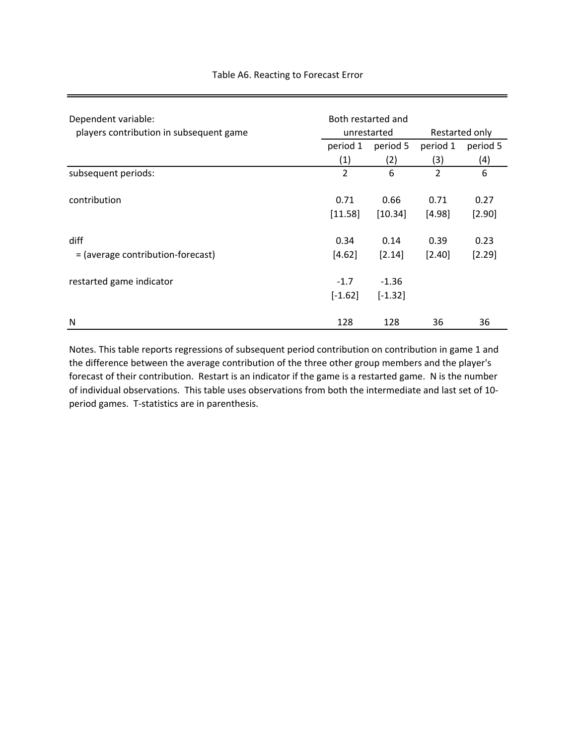| Dependent variable:<br>players contribution in subsequent game | Both restarted and<br>unrestarted | Restarted only |                |          |
|----------------------------------------------------------------|-----------------------------------|----------------|----------------|----------|
|                                                                | period 1                          | period 5       | period 1       | period 5 |
|                                                                | (1)                               | (2)            | (3)            | (4)      |
| subsequent periods:                                            | $\overline{2}$                    | 6              | $\overline{2}$ | 6        |
| contribution                                                   | 0.71                              | 0.66           | 0.71           | 0.27     |
|                                                                | [11.58]                           | [10.34]        | [4.98]         | [2.90]   |
| diff                                                           | 0.34                              | 0.14           | 0.39           | 0.23     |
| = (average contribution-forecast)                              | [4.62]                            | [2.14]         | $[2.40]$       | [2.29]   |
| restarted game indicator                                       | $-1.7$                            | $-1.36$        |                |          |
|                                                                | $[-1.62]$                         | $[-1.32]$      |                |          |
| N                                                              | 128                               | 128            | 36             | 36       |

## Table A6. Reacting to Forecast Error

Notes. This table reports regressions of subsequent period contribution on contribution in game 1 and the difference between the average contribution of the three other group members and the player's forecast of their contribution. Restart is an indicator if the game is a restarted game. N is the number of individual observations. This table uses observations from both the intermediate and last set of 10‐ period games. T-statistics are in parenthesis.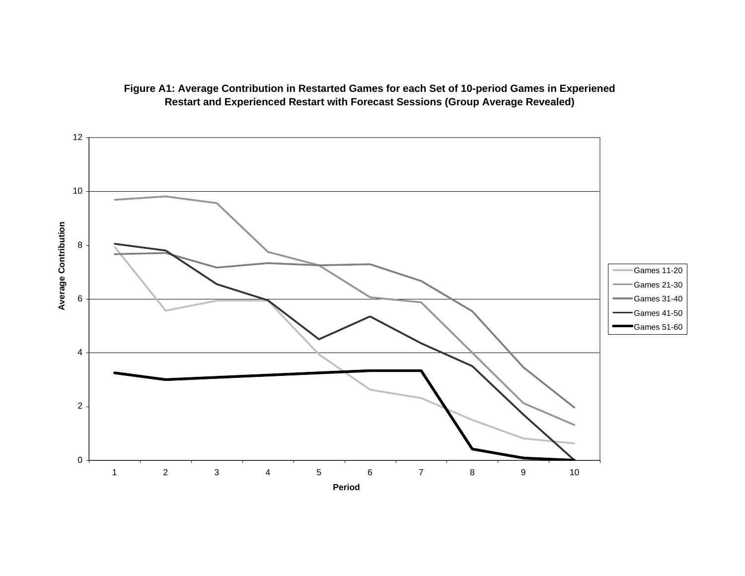

## **Figure A1: Average Contribution in Restarted Games for each Set of 10-period Games in Experiened Restart and Experienced Restart with Forecast Sessions (Group Average Revealed)**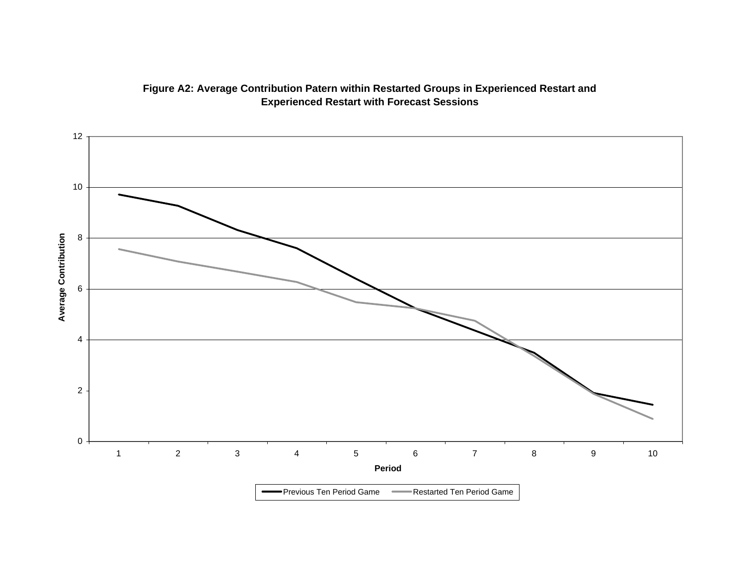

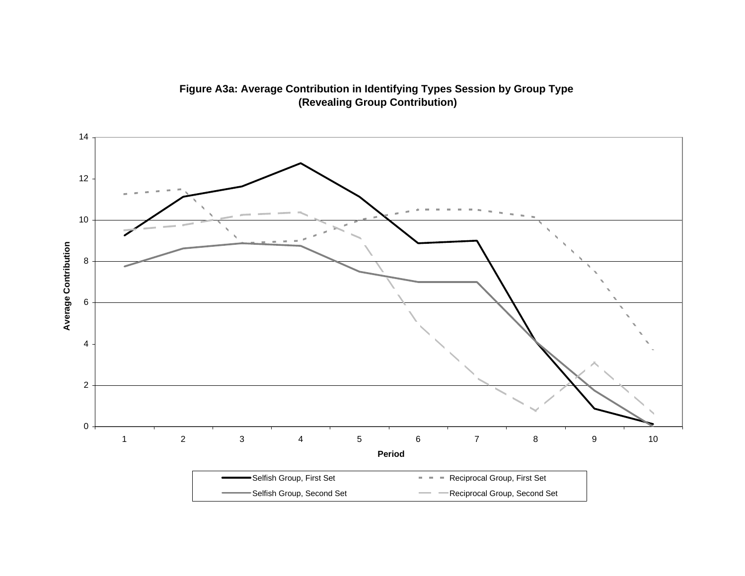

**Figure A3a: Average Contribution in Identifying Types Session by Group Type (Revealing Group Contribution)**